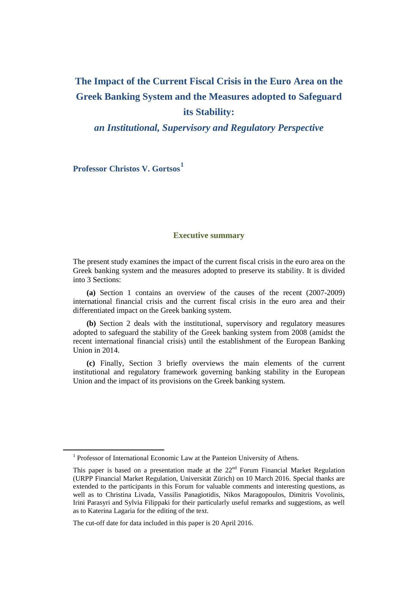# **The Impact of the Current Fiscal Crisis in the Euro Area on the Greek Banking System and the Measures adopted to Safeguard its Stability:**

*an Institutional, Supervisory and Regulatory Perspective*

**Professor Christos V. Gortsos[1](#page-0-0)**

# **Executive summary**

The present study examines the impact of the current fiscal crisis in the euro area on the Greek banking system and the measures adopted to preserve its stability. It is divided into 3 Sections:

 **(a)** Section 1 contains an overview of the causes of the recent (2007-2009) international financial crisis and the current fiscal crisis in the euro area and their differentiated impact on the Greek banking system.

 **(b)** Section 2 deals with the institutional, supervisory and regulatory measures adopted to safeguard the stability of the Greek banking system from 2008 (amidst the recent international financial crisis) until the establishment of the European Banking Union in 2014.

 **(c)** Finally, Section 3 briefly overviews the main elements of the current institutional and regulatory framework governing banking stability in the European Union and the impact of its provisions on the Greek banking system.

<span id="page-0-0"></span><sup>&</sup>lt;sup>1</sup> Professor of International Economic Law at the Panteion University of Athens.

This paper is based on a presentation made at the  $22<sup>nd</sup>$  Forum Financial Market Regulation (URPP Financial Market Regulation, Universität Zürich) on 10 March 2016. Special thanks are extended to the participants in this Forum for valuable comments and interesting questions, as well as to Christina Livada, Vassilis Panagiotidis, Nikos Maragopoulos, Dimitris Vovolinis, Irini Parasyri and Sylvia Filippaki for their particularly useful remarks and suggestions, as well as to Katerina Lagaria for the editing of the text.

The cut-off date for data included in this paper is 20 April 2016.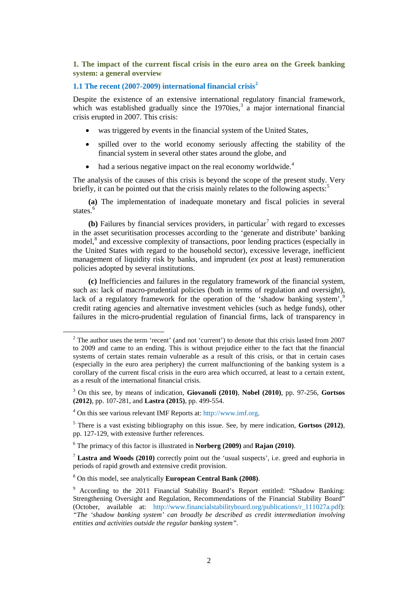**1. The impact of the current fiscal crisis in the euro area on the Greek banking system: a general overview**

# **1.1 The recent (2007-2009) international financial crisis[2](#page-1-0)**

Despite the existence of an extensive international regulatory financial framework, which was established gradually since the 1970ies,<sup>[3](#page-1-1)</sup> a major international financial crisis erupted in 2007. This crisis:

- was triggered by events in the financial system of the United States,
- spilled over to the world economy seriously affecting the stability of the financial system in several other states around the globe, and
- had a serious negative impact on the real economy worldwide.<sup>[4](#page-1-2)</sup>

The analysis of the causes of this crisis is beyond the scope of the present study. Very briefly, it can be pointed out that the crisis mainly relates to the following aspects.<sup>[5](#page-1-3)</sup>

**(a)** The implementation of inadequate monetary and fiscal policies in several states.<sup>[6](#page-1-4)</sup>

 $(b)$  Failures by financial services providers, in particular<sup>[7](#page-1-5)</sup> with regard to excesses in the asset securitisation processes according to the 'generate and distribute' banking model,<sup>[8](#page-1-6)</sup> and excessive complexity of transactions, poor lending practices (especially in the United States with regard to the household sector), excessive leverage, inefficient management of liquidity risk by banks, and imprudent (*ex post* at least) remuneration policies adopted by several institutions.

**(c)** Inefficiencies and failures in the regulatory framework of the financial system, such as: lack of macro-prudential policies (both in terms of regulation and oversight), lack of a regulatory framework for the operation of the 'shadow banking system', credit rating agencies and alternative investment vehicles (such as hedge funds), other failures in the micro-prudential regulation of financial firms, lack of transparency in

<span id="page-1-0"></span><sup>&</sup>lt;sup>2</sup> The author uses the term 'recent' (and not 'current') to denote that this crisis lasted from 2007 to 2009 and came to an ending. This is without prejudice either to the fact that the financial systems of certain states remain vulnerable as a result of this crisis, or that in certain cases (especially in the euro area periphery) the current malfunctioning of the banking system is a corollary of the current fiscal crisis in the euro area which occurred, at least to a certain extent, as a result of the international financial crisis.

<span id="page-1-1"></span><sup>3</sup> On this see, by means of indication, **Giovanoli (2010)**, **Nobel (2010)**, pp. 97-256, **Gortsos (2012)**, pp. 107-281, and **Lastra (2015)**, pp. 499-554.

<span id="page-1-2"></span><sup>4</sup> On this see various relevant IMF Reports at: [http://www.imf.org.](http://www.imf.org/) 

<span id="page-1-3"></span><sup>5</sup> There is a vast existing bibliography on this issue. See, by mere indication, **Gortsos (2012)**, pp. 127-129, with extensive further references.

<span id="page-1-4"></span><sup>6</sup> The primacy of this factor is illustrated in **Norberg (2009)** and **Rajan (2010)**.

<span id="page-1-5"></span><sup>7</sup> **Lastra and Woods (2010)** correctly point out the 'usual suspects', i.e. greed and euphoria in periods of rapid growth and extensive credit provision.

<span id="page-1-6"></span><sup>8</sup> On this model, see analytically **European Central Bank (2008)**.

<span id="page-1-7"></span><sup>9</sup> According to the 2011 Financial Stability Board's Report entitled: "Shadow Banking: Strengthening Oversight and Regulation, Recommendations of the Financial Stability Board" (October, available at: [http://www.financialstabilityboard.org/publications/r\\_111027a.pdf\)](http://www.financialstabilityboard.org/publications/r_111027a.pdf): *"The 'shadow banking system' can broadly be described as credit intermediation involving entities and activities outside the regular banking system".*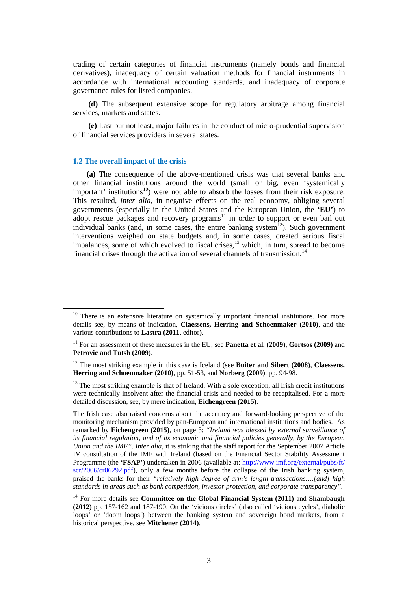trading of certain categories of financial instruments (namely bonds and financial derivatives), inadequacy of certain valuation methods for financial instruments in accordance with international accounting standards, and inadequacy of corporate governance rules for listed companies.

**(d)** The subsequent extensive scope for regulatory arbitrage among financial services, markets and states.

**(e)** Last but not least, major failures in the conduct of micro-prudential supervision of financial services providers in several states.

#### **1.2 The overall impact of the crisis**

 **(a)** The consequence of the above-mentioned crisis was that several banks and other financial institutions around the world (small or big, even 'systemically important' institutions<sup>10</sup>) were not able to absorb the losses from their risk exposure. This resulted, *inter alia*, in negative effects on the real economy, obliging several governments (especially in the United States and the European Union, the **'EU'**) to adopt rescue packages and recovery programs<sup>[11](#page-2-1)</sup> in order to support or even bail out individual banks (and, in some cases, the entire banking system<sup>[12](#page-2-2)</sup>). Such government interventions weighed on state budgets and, in some cases, created serious fiscal imbalances, some of which evolved to fiscal crises, $^{13}$  $^{13}$  $^{13}$  which, in turn, spread to become financial crises through the activation of several channels of transmission. [14](#page-2-4)

<span id="page-2-0"></span> $10$  There is an extensive literature on systemically important financial institutions. For more details see, by means of indication, **Claessens, Herring and Schoenmaker (2010)**, and the various contributions to **Lastra (2011**, editor**)**.

<span id="page-2-1"></span><sup>11</sup> For an assessment of these measures in the EU, see **Panetta et al. (2009)**, **Gortsos (2009)** and **Petrovic and Tutsh (2009)**.

<span id="page-2-2"></span><sup>12</sup> The most striking example in this case is Iceland (see **Buiter and Sibert (2008)**, **Claessens, Herring and Schoenmaker (2010)**, pp. 51-53, and **Norberg (2009)**, pp. 94-98.

<span id="page-2-3"></span> $13$  The most striking example is that of Ireland. With a sole exception, all Irish credit institutions were technically insolvent after the financial crisis and needed to be recapitalised. For a more detailed discussion, see, by mere indication, **Eichengreen (2015)**.

The Irish case also raised concerns about the accuracy and forward-looking perspective of the monitoring mechanism provided by pan-European and international institutions and bodies. As remarked by **Eichengreen (2015)**, on page 3: *"Ireland was blessed by external surveillance of its financial regulation, and of its economic and financial policies generally, by the European Union and the IMF"*. *Inter alia*, it is striking that the staff report for the September 2007 Article IV consultation of the IMF with Ireland (based on the Financial Sector Stability Assessment Programme (the **'FSAP'**) undertaken in 2006 (available at: [http://www.imf.org/external/pubs/ft/](http://www.imf.org/external/pubs/ft/%20scr/2006/cr06292.pdf)  [scr/2006/cr06292.pdf\)](http://www.imf.org/external/pubs/ft/%20scr/2006/cr06292.pdf), only a few months before the collapse of the Irish banking system, praised the banks for their *"relatively high degree of arm's length transactions….[and] high standards in areas such as bank competition, investor protection, and corporate transparency".*

<span id="page-2-4"></span><sup>14</sup> For more details see **Committee on the Global Financial System (2011)** and **Shambaugh (2012)** pp. 157-162 and 187-190. On the 'vicious circles' (also called 'vicious cycles', diabolic loops' or 'doom loops') between the banking system and sovereign bond markets, from a historical perspective, see **Mitchener (2014)**.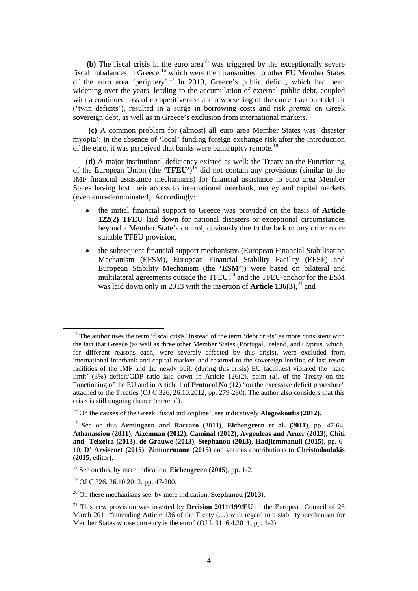**(b)** The fiscal crisis in the euro area<sup>[15](#page-3-0)</sup> was triggered by the exceptionally severe fiscal imbalances in Greece,<sup>[16](#page-3-1)</sup> which were then transmitted to other EU Member States of the euro area 'periphery'.<sup>[17](#page-3-2)</sup> In 2010, Greece's public deficit, which had been widening over the years, leading to the accumulation of external public debt, coupled with a continued loss of competitiveness and a worsening of the current account deficit ('twin deficits'), resulted in a surge in borrowing costs and risk *premia* on Greek sovereign debt, as well as in Greece's exclusion from international markets.

**(c)** A common problem for (almost) all euro area Member States was 'disaster myopia': in the absence of 'local' funding foreign exchange risk after the introduction of the euro, it was perceived that banks were bankruptcy remote.<sup>[18](#page-3-3)</sup>

**(d)** A major institutional deficiency existed as well: the Treaty on the Functioning of the European Union (the **'TFEU'**) [19](#page-3-4) did not contain any provisions (similar to the IMF financial assistance mechanisms) for financial assistance to euro area Member States having lost their access to international interbank, money and capital markets (even euro-denominated). Accordingly:

- the initial financial support to Greece was provided on the basis of **Article 122(2) TFEU** laid down for national disasters or exceptional circumstances beyond a Member State's control, obviously due to the lack of any other more suitable TFEU provision,
- the subsequent financial support mechanisms (European Financial Stabilisation Mechanism (EFSM), European Financial Stability Facility (EFSF) and European Stability Mechanism (the **'ESM'**)) were based on bilateral and multilateral agreements outside the TFEU,<sup>[20](#page-3-5)</sup> and the TFEU-anchor for the ESM was laid down only in 2013 with the insertion of **Article 136(3)**, [21](#page-3-6) and

<span id="page-3-0"></span><sup>&</sup>lt;sup>15</sup> The author uses the term 'fiscal crisis' instead of the term 'debt crisis' as more consistent with the fact that Greece (as well as three other Member States (Portugal, Ireland, and Cyprus, which, for different reasons each, were severely affected by this crisis), were excluded from international interbank and capital markets and resorted to the sovereign lending of last resort facilities of the IMF and the newly built (during this crisis) EU facilities) violated the 'hard limit' (3%) deficit/GDP ratio laid down in Article 126(2), point (a), of the Treaty on the Functioning of the EU and in Article 1 of **Protocol No (12)** "on the excessive deficit procedure" attached to the Treaties (OJ C 326, 26.10.2012, pp. 279-280). The author also considers that this crisis is still ongoing (hence 'current').

<span id="page-3-1"></span><sup>16</sup> On the causes of the Greek 'fiscal indiscipline', see indicatively **Alogoskoufis (2012)**.

<span id="page-3-2"></span><sup>17</sup> See on this **Armingeon and Baccaro (2011)**, **Eichengreen et al. (2011)**, pp. 47-64, **Athanassiou (2011)**, **Aizenman (2012)**, **Caminal (2012)**, **Avgouleas and Arner (2013)**, **Chiti and Teixeira (2013)**, **de Grauwe (2013)**, **Stephanou (2013)**, **Hadjiemmanuil (2015)**, pp. 6- 10, **D' Arvisenet (2015)**, **Zimmermann (2015)** and various contributions to **Christodoulakis (2015**, editor**)**.

<span id="page-3-3"></span><sup>18</sup> See on this, by mere indication, **Eichengreen (2015)**, pp. 1-2.

<span id="page-3-4"></span><sup>19</sup> OJ C 326, 26.10.2012, pp. 47-200.

<span id="page-3-5"></span><sup>20</sup> On these mechanisms see, by mere indication, **Stephanou (2013)**.

<span id="page-3-6"></span><sup>&</sup>lt;sup>21</sup> This new provision was inserted by **Decision 2011/199/EU** of the European Council of 25 March 2011 "amending Article 136 of the Treaty (...) with regard to a stability mechanism for Member States whose currency is the euro" (OJ L 91, 6.4.2011, pp. 1-2).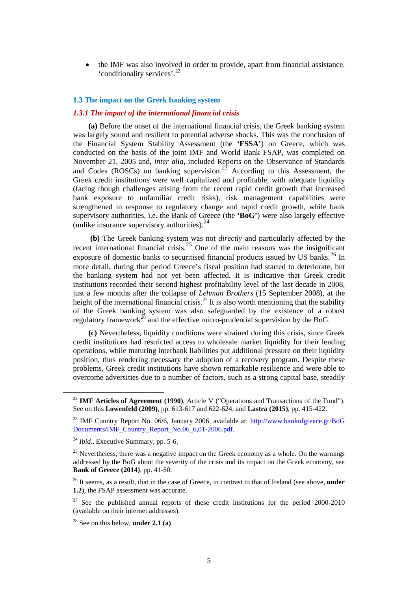• the IMF was also involved in order to provide, apart from financial assistance, 'conditionality services'. [22](#page-4-0)

#### **1.3 The impact on the Greek banking system**

# *1.3.1 The impact of the international financial crisis*

**(a)** Before the onset of the international financial crisis, the Greek banking system was largely sound and resilient to potential adverse shocks. This was the conclusion of the Financial System Stability Assessment (the **'FSSA'**) on Greece, which was conducted on the basis of the joint IMF and World Bank FSAP, was completed on November 21, 2005 and, *inter alia*, included Reports on the Observance of Standards and Codes (ROSCs) on banking supervision.<sup>[23](#page-4-1)</sup> According to this Assessment, the Greek credit institutions were well capitalized and profitable, with adequate liquidity (facing though challenges arising from the recent rapid credit growth that increased bank exposure to unfamiliar credit risks), risk management capabilities were strengthened in response to regulatory change and rapid credit growth, while bank supervisory authorities, i.e. the Bank of Greece (the **'BoG'**) were also largely effective (unlike insurance supervisory authorities). [24](#page-4-2)

**(b)** The Greek banking system was not *directly* and particularly affected by the recent international financial crisis.<sup>[25](#page-4-3)</sup> One of the main reasons was the insignificant exposure of domestic banks to securitised financial products issued by US banks.<sup>[26](#page-4-4)</sup> In more detail, during that period Greece's fiscal position had started to deteriorate, but the banking system had not yet been affected. It is indicative that Greek credit institutions recorded their second highest profitability level of the last decade in 2008, just a few months after the collapse of *Lehman Brothers* (15 September 2008), at the height of the international financial crisis.<sup>[27](#page-4-5)</sup> It is also worth mentioning that the stability of the Greek banking system was also safeguarded by the existence of a robust regulatory framework<sup>[28](#page-4-6)</sup> and the effective micro-prudential supervision by the BoG.

**(c)** Nevertheless, liquidity conditions were strained during this crisis, since Greek credit institutions had restricted access to wholesale market liquidity for their lending operations, while maturing interbank liabilities put additional pressure on their liquidity position, thus rendering necessary the adoption of a recovery program. Despite these problems, Greek credit institutions have shown remarkable resilience and were able to overcome adversities due to a number of factors, such as a strong capital base, steadily

<span id="page-4-0"></span><sup>&</sup>lt;sup>22</sup> **IMF Articles of Agreement (1990)**, Article V ("Operations and Transactions of the Fund"). See on this **Lowenfeld (2009)**, pp. 613-617 and 622-624, and **Lastra (2015)**, pp. 415-422.

<span id="page-4-1"></span><sup>&</sup>lt;sup>23</sup> IMF Country Report No. 06/6, January 2006, available at: http://www.bankofgreece.gr/BoG [Documents/IMF\\_Country\\_Report\\_No.06\\_6,01-2006.pdf.](http://www.bankofgreece.gr/BoG%20Documents/IMF_Country_Report_No.06_6,01-2006.pdf)

<span id="page-4-2"></span><sup>&</sup>lt;sup>24</sup> *Ibid.*, Executive Summary, pp. 5-6.

<span id="page-4-3"></span> $25$  Nevertheless, there was a negative impact on the Greek economy as a whole. On the warnings addressed by the BoG about the severity of the crisis and its impact on the Greek economy, see **Bank of Greece (2014)**, pp. 41-50.

<span id="page-4-4"></span><sup>26</sup> It seems, as a result, that in the case of Greece, in contrast to that of Ireland (see above, **under 1.2**), the FSAP assessment was accurate.

<span id="page-4-5"></span> $27$  See the published annual reports of these credit institutions for the period 2000-2010 (available on their internet addresses).

<span id="page-4-6"></span><sup>28</sup> See on this below, **under 2.1 (a)**.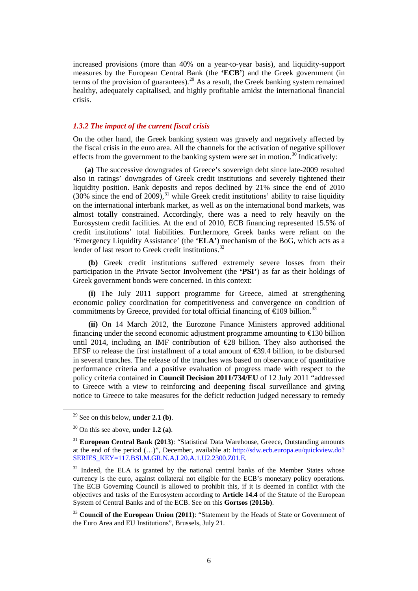increased provisions (more than 40% on a year-to-year basis), and liquidity-support measures by the European Central Bank (the **'ECB'**) and the Greek government (in terms of the provision of guarantees).<sup>[29](#page-5-0)</sup> As a result, the Greek banking system remained healthy, adequately capitalised, and highly profitable amidst the international financial crisis.

#### *1.3.2 The impact of the current fiscal crisis*

On the other hand, the Greek banking system was gravely and negatively affected by the fiscal crisis in the euro area. All the channels for the activation of negative spillover effects from the government to the banking system were set in motion.<sup>[30](#page-5-1)</sup> Indicatively:

 **(a)** The successive downgrades of Greece's sovereign debt since late-2009 resulted also in ratings' downgrades of Greek credit institutions and severely tightened their liquidity position. Bank deposits and repos declined by 21% since the end of 2010  $(30\% \text{ since the end of } 2009)$ , <sup>[31](#page-5-2)</sup> while Greek credit institutions' ability to raise liquidity on the international interbank market, as well as on the international bond markets, was almost totally constrained. Accordingly, there was a need to rely heavily on the Eurosystem credit facilities. At the end of 2010, ECB financing represented 15.5% of credit institutions' total liabilities. Furthermore, Greek banks were reliant on the 'Emergency Liquidity Assistance' (the **'ELA'**) mechanism of the BoG, which acts as a lender of last resort to Greek credit institutions.<sup>[32](#page-5-3)</sup>

**(b)** Greek credit institutions suffered extremely severe losses from their participation in the Private Sector Involvement (the **'PSI'**) as far as their holdings of Greek government bonds were concerned. In this context:

**(i)** The July 2011 support programme for Greece, aimed at strengthening economic policy coordination for competitiveness and convergence on condition of commitments by Greece, provided for total official financing of  $\epsilon$ 109 billion.<sup>[33](#page-5-4)</sup>

**(ii)** On 14 March 2012, the Eurozone Finance Ministers approved additional financing under the second economic adjustment programme amounting to  $\in$  30 billion until 2014, including an IMF contribution of  $\epsilon$  28 billion. They also authorised the EFSF to release the first installment of a total amount of €39.4 billion, to be disbursed in several tranches. The release of the tranches was based on observance of quantitative performance criteria and a positive evaluation of progress made with respect to the policy criteria contained in **Council Decision 2011/734/EU** of 12 July 2011 "addressed to Greece with a view to reinforcing and deepening fiscal surveillance and giving notice to Greece to take measures for the deficit reduction judged necessary to remedy

<span id="page-5-0"></span> <sup>29</sup> See on this below, **under 2.1 (b)**.

<span id="page-5-1"></span><sup>30</sup> On this see above, **under 1.2 (a)**.

<span id="page-5-2"></span><sup>31</sup> **European Central Bank (2013)**: "Statistical Data Warehouse, Greece, Outstanding amounts at the end of the period (…)", December, available at: [http://sdw.ecb.europa.eu/quickview.do?](http://sdw.ecb.europa.eu/quickview.do?%20SERIES_KEY=117.BSI.M.GR.N.A.L20.A.1.U2.2300.Z01.E)  [SERIES\\_KEY=117.BSI.M.GR.N.A.L20.A.1.U2.2300.Z01.E.](http://sdw.ecb.europa.eu/quickview.do?%20SERIES_KEY=117.BSI.M.GR.N.A.L20.A.1.U2.2300.Z01.E)

<span id="page-5-3"></span> $32$  Indeed, the ELA is granted by the national central banks of the Member States whose currency is the euro, against collateral not eligible for the ECB's monetary policy operations. The ECB Governing Council is allowed to prohibit this, if it is deemed in conflict with the objectives and tasks of the Eurosystem according to **Article 14.4** of the Statute of the European System of Central Banks and of the ECB. See on this **Gortsos (2015b)**.

<span id="page-5-4"></span><sup>&</sup>lt;sup>33</sup> **Council of the European Union (2011)**: "Statement by the Heads of State or Government of the Euro Area and EU Institutions", Brussels, July 21.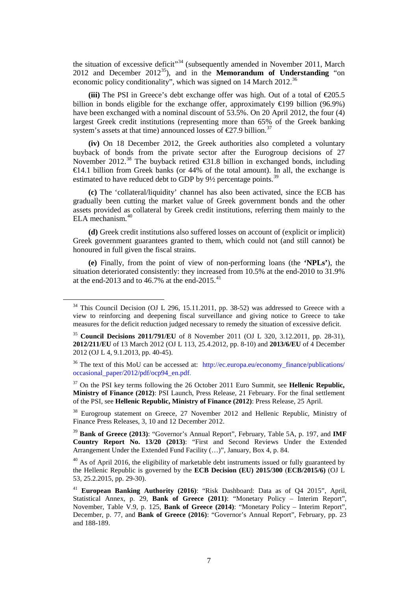the situation of excessive deficit<sup> $34$ </sup> (subsequently amended in November 2011, March 2012 and December 2012[35\)](#page-6-1), and in the **Memorandum of Understanding** "on economic policy conditionality", which was signed on 14 March 2012.<sup>[36](#page-6-2)</sup>

(iii) The PSI in Greece's debt exchange offer was high. Out of a total of  $\epsilon$ 205.5 billion in bonds eligible for the exchange offer, approximately  $\in$  199 billion (96.9%) have been exchanged with a nominal discount of 53.5%. On 20 April 2012, the four (4) largest Greek credit institutions (representing more than 65% of the Greek banking system's assets at that time) announced losses of  $\epsilon$ 27.9 billion.<sup>[37](#page-6-3)</sup>

**(iv)** On 18 December 2012, the Greek authorities also completed a voluntary buyback of bonds from the private sector after the Eurogroup decisions of 27 November 2012.<sup>[38](#page-6-4)</sup> The buyback retired  $\bigotimes 1.8$  billion in exchanged bonds, including €14.1 billion from Greek banks (or 44% of the total amount). In all, the exchange is estimated to have reduced debt to GDP by 9<sup>1</sup>/<sub>2</sub> percentage points.<sup>[39](#page-6-5)</sup>

**(c)** The 'collateral/liquidity' channel has also been activated, since the ECB has gradually been cutting the market value of Greek government bonds and the other assets provided as collateral by Greek credit institutions, referring them mainly to the ELA mechanism. [40](#page-6-6)

**(d)** Greek credit institutions also suffered losses on account of (explicit or implicit) Greek government guarantees granted to them, which could not (and still cannot) be honoured in full given the fiscal strains.

**(e)** Finally, from the point of view of non-performing loans (the **'NPLs'**), the situation deteriorated consistently: they increased from 10.5% at the end-2010 to 31.9% at the end-2013 and to 46.7% at the end-2015.<sup>[41](#page-6-7)</sup>

<span id="page-6-3"></span><sup>37</sup> On the PSI key terms following the 26 October 2011 Euro Summit, see **Hellenic Republic, Ministry of Finance (2012)**: PSI Launch, Press Release, 21 February. For the final settlement of the PSI, see **Hellenic Republic, Ministry of Finance (2012)**: Press Release, 25 April.

<span id="page-6-4"></span><sup>38</sup> Eurogroup statement on Greece, 27 November 2012 and Hellenic Republic, Ministry of Finance Press Releases, 3, 10 and 12 December 2012.

<span id="page-6-5"></span><sup>39</sup> **Bank of Greece (2013)**: "Governor's Annual Report", February, Table 5A, p. 197, and **IMF Country Report No. 13/20 (2013)**: "First and Second Reviews Under the Extended Arrangement Under the Extended Fund Facility (…)", January, Box 4, p. 84.

<span id="page-6-6"></span> $40$  As of April 2016, the eligibility of marketable debt instruments issued or fully guaranteed by the Hellenic Republic is governed by the **ECB Decision (EU) 2015/300** (**ECB/2015/6)** (OJ L 53, 25.2.2015, pp. 29-30).

<span id="page-6-0"></span> $34$  This Council Decision (OJ L 296, 15.11.2011, pp. 38-52) was addressed to Greece with a view to reinforcing and deepening fiscal surveillance and giving notice to Greece to take measures for the deficit reduction judged necessary to remedy the situation of excessive deficit.

<span id="page-6-1"></span><sup>35</sup> **Council Decisions 2011/791/EU** of 8 November 2011 (OJ L 320, 3.12.2011, pp. 28-31), **2012/211/EU** of 13 March 2012 (OJ L 113, 25.4.2012, pp. 8-10) and **2013/6/EU** of 4 December 2012 (OJ L 4, 9.1.2013, pp. 40-45).

<span id="page-6-2"></span> $36$  The text of this MoU can be accessed at: http://ec.europa.eu/economy finance/publications/ [occasional\\_paper/2012/pdf/ocp94\\_en.pdf.](http://ec.europa.eu/economy_finance/publications/%20occasional_paper/2012/pdf/ocp94_en.pdf)

<span id="page-6-7"></span><sup>41</sup> **European Banking Authority (2016)**: "Risk Dashboard: Data as of Q4 2015", April, Statistical Annex, p. 29, **Bank of Greece (2011)**: "Monetary Policy – Interim Report", November, Table V.9, p. 125, **Bank of Greece (2014)**: "Monetary Policy – Interim Report", December, p. 77, and **Bank of Greece (2016)**: "Governor's Annual Report", February, pp. 23 and 188-189.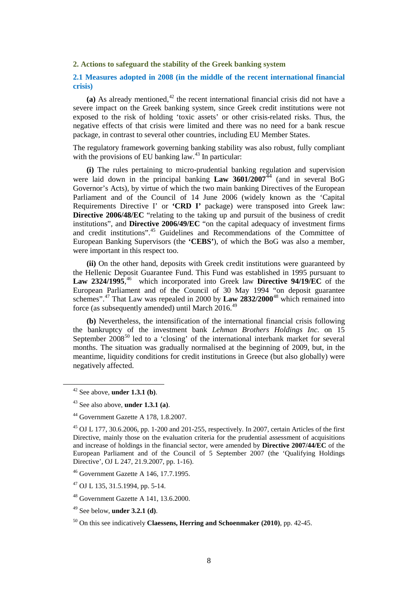**2. Actions to safeguard the stability of the Greek banking system**

# **2.1 Measures adopted in 2008 (in the middle of the recent international financial crisis)**

(a) As already mentioned, $42$  the recent international financial crisis did not have a severe impact on the Greek banking system, since Greek credit institutions were not exposed to the risk of holding 'toxic assets' or other crisis-related risks. Thus, the negative effects of that crisis were limited and there was no need for a bank rescue package, in contrast to several other countries, including EU Member States.

The regulatory framework governing banking stability was also robust, fully compliant with the provisions of EU banking law. $43$  In particular:

 **(i)** The rules pertaining to micro-prudential banking regulation and supervision were laid down in the principal banking  $Law$  3601/2007<sup>[44](#page-7-2)</sup> (and in several BoG Governor's Acts), by virtue of which the two main banking Directives of the European Parliament and of the Council of 14 June 2006 (widely known as the 'Capital Requirements Directive I' or **'CRD I'** package) were transposed into Greek law: **Directive 2006/48/EC** "relating to the taking up and pursuit of the business of credit institutions", and **Directive 2006/49/EC** "on the capital adequacy of investment firms and credit institutions".[45](#page-7-3) Guidelines and Recommendations of the Committee of European Banking Supervisors (the **'CEBS'**), of which the BoG was also a member, were important in this respect too.

 **(ii)** On the other hand, deposits with Greek credit institutions were guaranteed by the Hellenic Deposit Guarantee Fund. This Fund was established in 1995 pursuant to Law 2324/1995,<sup>[46](#page-7-4)</sup> which incorporated into Greek law Directive 94/19/EC of the European Parliament and of the Council of 30 May 1994 "on deposit guarantee schemes".[47](#page-7-5) That Law was repealed in 2000 by **Law 2832/2000**[48](#page-7-6) which remained into force (as subsequently amended) until March 2016.<sup>[49](#page-7-7)</sup>

 **(b)** Nevertheless, the intensification of the international financial crisis following the bankruptcy of the investment bank *Lehman Brothers Holdings Inc.* on 15 September 2008<sup>[50](#page-7-8)</sup> led to a 'closing' of the international interbank market for several months. The situation was gradually normalised at the beginning of 2009, but, in the meantime, liquidity conditions for credit institutions in Greece (but also globally) were negatively affected.

<span id="page-7-0"></span> <sup>42</sup> See above, **under 1.3.1 (b)**.

<span id="page-7-1"></span><sup>43</sup> See also above, **under 1.3.1 (a)**.

<span id="page-7-2"></span><sup>44</sup> Government Gazette A 178, 1.8.2007.

<span id="page-7-3"></span><sup>45</sup> OJ L [177, 30.6.2006, pp. 1-200 and 201-](http://eur-lex.europa.eu/legal-content/EN/TXT/HTML/?uri=CELEX:02013L0036-20140320&qid=1407573593808&from=EN#E0003)255, respectively. In 2007, certain Articles of the first Directive, mainly those on the evaluation criteria for the prudential assessment of acquisitions and increase of holdings in the financial sector, were amended by **Directive 2007/44/EC** of the European Parliament and of the Council of 5 September 2007 (the 'Qualifying Holdings Directive', OJ L 247, 21.9.2007, pp. 1-16).

<span id="page-7-4"></span><sup>46</sup> Government Gazette A 146, 17.7.1995.

<span id="page-7-5"></span><sup>47</sup> OJ L 135, 31.5.1994, pp. 5-14.

<span id="page-7-6"></span><sup>48</sup> Government Gazette A 141, 13.6.2000.

<span id="page-7-7"></span><sup>49</sup> See below, **under 3.2.1 (d)**.

<span id="page-7-8"></span><sup>50</sup> On this see indicatively **Claessens, Herring and Schoenmaker (2010)**, pp. 42-45.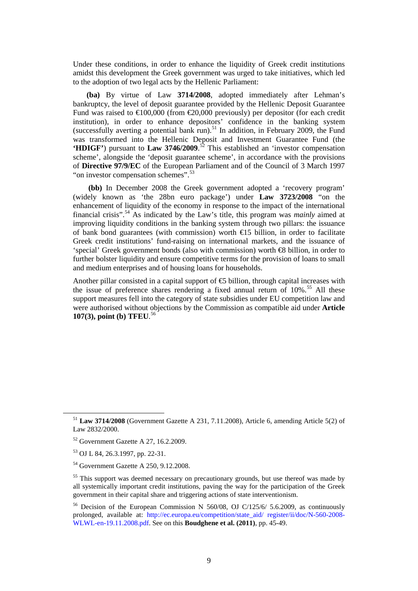Under these conditions, in order to enhance the liquidity of Greek credit institutions amidst this development the Greek government was urged to take initiatives, which led to the adoption of two legal acts by the Hellenic Parliament:

 **(ba)** By virtue of Law **3714/2008**, adopted immediately after Lehman's bankruptcy, the level of deposit guarantee provided by the Hellenic Deposit Guarantee Fund was raised to  $\text{\textsterling}00,000$  (from  $\text{\textsterling}0,000$  previously) per depositor (for each credit institution), in order to enhance depositors' confidence in the banking system (successfully averting a potential bank run).<sup>[51](#page-8-0)</sup> In addition, in February 2009, the Fund was transformed into the Hellenic Deposit and Investment Guarantee Fund (the **'HDIGF'**) pursuant to **Law 3746/2009**. [52](#page-8-1) This established an 'investor compensation scheme', alongside the 'deposit guarantee scheme', in accordance with the provisions of **Directive 97/9/EC** of the European Parliament and of the Council of 3 March 1997 "on investor compensation schemes".<sup>[53](#page-8-2)</sup>

**(bb)** In December 2008 the Greek government adopted a 'recovery program' (widely known as 'the 28bn euro package') under **Law 3723/2008** "on the enhancement of liquidity of the economy in response to the impact of the international financial crisis".[54](#page-8-3) As indicated by the Law's title, this program was *mainly* aimed at improving liquidity conditions in the banking system through two pillars: the issuance of bank bond guarantees (with commission) worth  $\epsilon$  a billion, in order to facilitate Greek credit institutions' fund-raising on international markets, and the issuance of 'special' Greek government bonds (also with commission) worth  $\bigoplus$  billion, in order to further bolster liquidity and ensure competitive terms for the provision of loans to small and medium enterprises and of housing loans for households.

Another pillar consisted in a capital support of  $\epsilon$  billion, through capital increases with the issue of preference shares rendering a fixed annual return of  $10\%$ .<sup>[55](#page-8-4)</sup> All these support measures fell into the category of state subsidies under EU competition law and were authorised without objections by the Commission as compatible aid under **Article 107(3), point (b) TFEU**. [56](#page-8-5)

<span id="page-8-0"></span> <sup>51</sup> **Law 3714/2008** (Government Gazette A 231, 7.11.2008), Article 6, amending Article 5(2) of Law 2832/2000.

<span id="page-8-1"></span><sup>52</sup> Government Gazette A 27, 16.2.2009.

<span id="page-8-2"></span><sup>53</sup> OJ L 84, 26.3.1997, pp. 22-31.

<span id="page-8-3"></span><sup>54</sup> Government Gazette A 250, 9.12.2008.

<span id="page-8-4"></span><sup>&</sup>lt;sup>55</sup> This support was deemed necessary on precautionary grounds, but use thereof was made by all systemically important credit institutions, paving the way for the participation of the Greek government in their capital share and triggering actions of state interventionism.

<span id="page-8-5"></span><sup>&</sup>lt;sup>56</sup> Decision of the European Commission N 560/08, OJ C/125/6/ 5.6.2009, as continuously prolonged, available at: [http://ec.europa.eu/competition/state\\_aid/ register/ii/doc/N-560-2008-](http://ec.europa.eu/competition/state_aid/%20register/ii/doc/N-560-2008-WLWL-en-19.11.2008.pdf) [WLWL-en-19.11.2008.pdf.](http://ec.europa.eu/competition/state_aid/%20register/ii/doc/N-560-2008-WLWL-en-19.11.2008.pdf) See on this **Boudghene et al. (2011)**, pp. 45-49.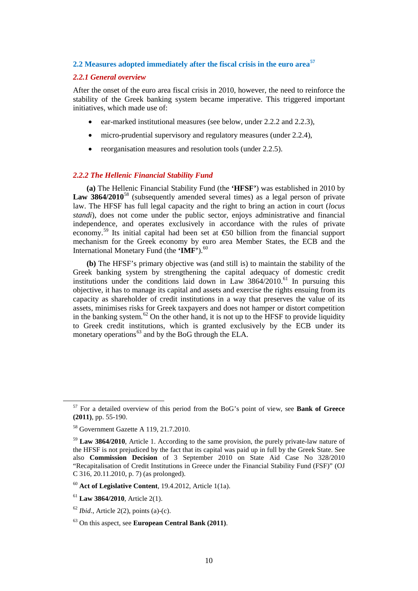# **2.2 Measures adopted immediately after the fiscal crisis in the euro area[57](#page-9-0)**

#### *2.2.1 General overview*

After the onset of the euro area fiscal crisis in 2010, however, the need to reinforce the stability of the Greek banking system became imperative. This triggered important initiatives, which made use of:

- ear-marked institutional measures (see below, under 2.2.2 and 2.2.3),
- micro-prudential supervisory and regulatory measures (under 2.2.4),
- reorganisation measures and resolution tools (under 2.2.5).

#### *2.2.2 The Hellenic Financial Stability Fund*

 **(a)** The Hellenic Financial Stability Fund (the **'HFSF'**) was established in 2010 by Law 3864/2010<sup>[58](#page-9-1)</sup> (subsequently amended several times) as a legal person of private law. The HFSF has full legal capacity and the right to bring an action in court (*locus standi*), does not come under the public sector, enjoys administrative and financial independence, and operates exclusively in accordance with the rules of private economy.[59](#page-9-2) Its initial capital had been set at €50 billion from the financial support mechanism for the Greek economy by euro area Member States, the ECB and the International Monetary Fund (the **'IMF'**).<sup>[60](#page-9-3)</sup>

 **(b)** The HFSF's primary objective was (and still is) to maintain the stability of the Greek banking system by strengthening the capital adequacy of domestic credit institutions under the conditions laid down in Law  $3864/2010$ .<sup>[61](#page-9-4)</sup> In pursuing this objective, it has to manage its capital and assets and exercise the rights ensuing from its capacity as shareholder of credit institutions in a way that preserves the value of its assets, minimises risks for Greek taxpayers and does not hamper or distort competition in the banking system.<sup>[62](#page-9-5)</sup> On the other hand, it is not up to the HFSF to provide liquidity to Greek credit institutions, which is granted exclusively by the ECB under its monetary operations $^{63}$  $^{63}$  $^{63}$  and by the BoG through the ELA.

<span id="page-9-0"></span> <sup>57</sup> For a detailed overview of this period from the BoG's point of view, see **Bank of Greece (2011)**, pp. 55-190.

<span id="page-9-1"></span><sup>58</sup> Government Gazette A 119, 21.7.2010.

<span id="page-9-2"></span><sup>&</sup>lt;sup>59</sup> **Law 3864/2010**, Article 1. According to the same provision, the purely private-law nature of the HFSF is not prejudiced by the fact that its capital was paid up in full by the Greek State. See also **Commission Decision** of 3 September 2010 on State Aid Case No 328/2010 "Recapitalisation of Credit Institutions in Greece under the Financial Stability Fund (FSF)" (OJ C 316, 20.11.2010, p. 7) (as prolonged).

<span id="page-9-3"></span><sup>60</sup> **Act of Legislative Content**, 19.4.2012, Article 1(1a).

<span id="page-9-4"></span><sup>61</sup> **Law 3864/2010**, Article 2(1).

<span id="page-9-5"></span> $62$  *Ibid.*, Article 2(2), points (a)-(c).

<span id="page-9-6"></span><sup>63</sup> On this aspect, see **European Central Bank (2011)**.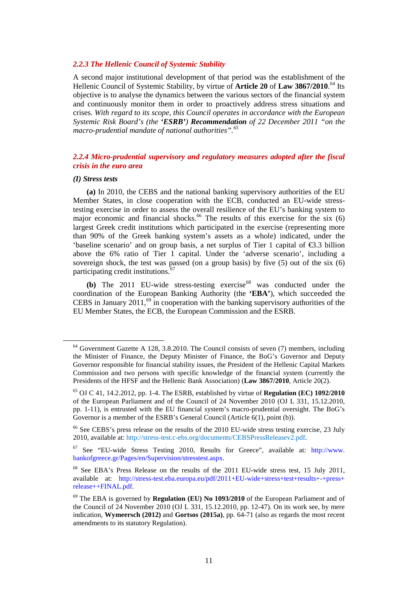#### *2.2.3 The Hellenic Council of Systemic Stability*

A second major institutional development of that period was the establishment of the Hellenic Council of Systemic Stability, by virtue of **Article 20** of **Law 3867/2010**. [64](#page-10-0) Its objective is to analyse the dynamics between the various sectors of the financial system and continuously monitor them in order to proactively address stress situations and crises. *With regard to its scope, this Council operates in accordance with the European Systemic Risk Board's (the 'ESRB') Recommendation of 22 December 2011 "on the macro-prudential mandate of national authorities".[65](#page-10-1)*

# *2.2.4 Micro-prudential supervisory and regulatory measures adopted after the fiscal crisis in the euro area*

#### *(I) Stress tests*

 **(a)** In 2010, the CEBS and the national banking supervisory authorities of the EU Member States, in close cooperation with the ECB, conducted an EU-wide stresstesting exercise in order to assess the overall resilience of the EU's banking system to major economic and financial shocks.<sup>[66](#page-10-2)</sup> The results of this exercise for the six (6) largest Greek credit institutions which participated in the exercise (representing more than 90% of the Greek banking system's assets as a whole) indicated, under the 'baseline scenario' and on group basis, a net surplus of Tier 1 capital of  $\epsilon$ 3.3 billion above the 6% ratio of Tier 1 capital. Under the 'adverse scenario', including a sovereign shock, the test was passed (on a group basis) by five (5) out of the six (6) participating credit institutions. [67](#page-10-3)

**(b)** The 2011 EU-wide stress-testing exercise<sup>[68](#page-10-4)</sup> was conducted under the coordination of the European Banking Authority (the **'EBA'**), which succeeded the CEBS in January  $2011$ ,<sup>[69](#page-10-5)</sup> in cooperation with the banking supervisory authorities of the EU Member States, the ECB, the European Commission and the ESRB.

<span id="page-10-0"></span> $64$  Government Gazette A 128, 3.8.2010. The Council consists of seven (7) members, including the Minister of Finance, the Deputy Minister of Finance, the BoG's Governor and Deputy Governor responsible for financial stability issues, the President of the Hellenic Capital Markets Commission and two persons with specific knowledge of the financial system (currently the Presidents of the HFSF and the Hellenic Bank Association) (**Law 3867/2010**, Article 20(2).

<span id="page-10-1"></span><sup>65</sup> OJ C 41, 14.2.2012, pp. 1-4. The ESRB, established by virtue of **Regulation (EC) 1092/2010** of the European Parliament and of the Council of 24 November 2010 (OJ L 331, 15.12.2010, pp. 1-11), is entrusted with the EU financial system's macro-prudential oversight. The BoG's Governor is a member of the ESRB's General Council (Article 6(1), point (b)).

<span id="page-10-2"></span><sup>&</sup>lt;sup>66</sup> See CEBS's press release on the results of the 2010 EU-wide stress testing exercise, 23 July 2010, available at: [http://stress-test.c-ebs.org/documents/CEBSPressReleasev2.pdf.](http://stress-test.c-ebs.org/documents/CEBSPressReleasev2.pdf)

<span id="page-10-3"></span><sup>67</sup> See "EU-wide Stress Testing 2010, Results for Greece", available at: http://www. bankofgreece.gr/Pages/en/Supervision/stresstest.aspx.

<span id="page-10-4"></span><sup>68</sup> See EBA's Press Release on the results of the 2011 EU-wide stress test, 15 July 2011, available at: [http://stress-test.eba.europa.eu/pdf/2011+EU-wide+stress+test+results+-+press+](http://stress-test.eba.europa.eu/pdf/2011+EU-wide+stress+test+results+-+press+%20release++FINAL.pdf)  [release++FINAL.pdf.](http://stress-test.eba.europa.eu/pdf/2011+EU-wide+stress+test+results+-+press+%20release++FINAL.pdf) 

<span id="page-10-5"></span><sup>69</sup> The EBA is governed by **Regulation (EU) No 1093/2010** of the European Parliament and of the Council of 24 November 2010 (OJ L 331, 15.12.2010, pp. 12-47). On its work see, by mere indication, **Wymeersch (2012)** and **Gortsos (2015a)**, pp. 64-71 (also as regards the most recent amendments to its statutory Regulation).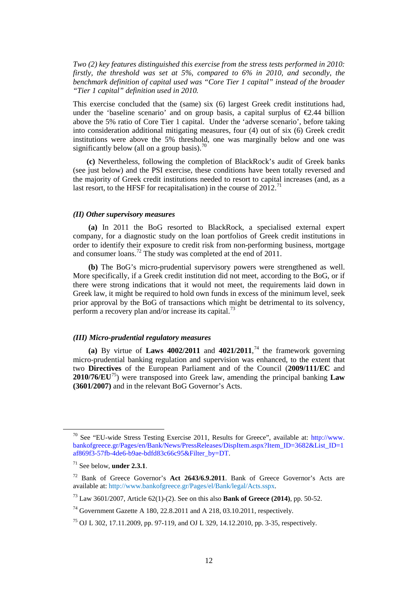*Two (2) key features distinguished this exercise from the stress tests performed in 2010: firstly, the threshold was set at 5%, compared to 6% in 2010, and secondly, the benchmark definition of capital used was "Core Tier 1 capital" instead of the broader "Tier 1 capital" definition used in 2010.*

This exercise concluded that the (same) six (6) largest Greek credit institutions had, under the 'baseline scenario' and on group basis, a capital surplus of  $\epsilon$ 2.44 billion above the 5% ratio of Core Tier 1 capital. Under the 'adverse scenario', before taking into consideration additional mitigating measures, four (4) out of six (6) Greek credit institutions were above the 5% threshold, one was marginally below and one was significantly below (all on a group basis).<sup>[70](#page-11-0)</sup>

 **(c)** Nevertheless, following the completion of BlackRock's audit of Greek banks (see just below) and the PSI exercise, these conditions have been totally reversed and the majority of Greek credit institutions needed to resort to capital increases (and, as a last resort, to the HFSF for recapitalisation) in the course of  $2012$ .<sup>[71](#page-11-1)</sup>

#### *(II) Other supervisory measures*

**(a)** In 2011 the BoG resorted to BlackRock, a specialised external expert company, for a diagnostic study on the loan portfolios of Greek credit institutions in order to identify their exposure to credit risk from non-performing business, mortgage and consumer loans.[72](#page-11-2) The study was completed at the end of 2011.

**(b)** The BoG's micro-prudential supervisory powers were strengthened as well. More specifically, if a Greek credit institution did not meet, according to the BoG, or if there were strong indications that it would not meet, the requirements laid down in Greek law, it might be required to hold own funds in excess of the minimum level, seek prior approval by the BoG of transactions which might be detrimental to its solvency, perform a recovery plan and/or increase its capital.<sup>[73](#page-11-3)</sup>

#### *(III) Micro-prudential regulatory measures*

(a) By virtue of **Laws 4002/2011** and  $4021/2011$ ,<sup>[74](#page-11-4)</sup> the framework governing micro-prudential banking regulation and supervision was enhanced, to the extent that two **Directives** of the European Parliament and of the Council (**2009/111/EC** and **2010/76/EU**[75\)](#page-11-5) were transposed into Greek law, amending the principal banking **Law (3601/2007)** and in the relevant BoG Governor's Acts.

<span id="page-11-0"></span><sup>&</sup>lt;sup>70</sup> See "EU-wide Stress Testing Exercise 2011, Results for Greece", available at: http://www. bankofgreece.gr/Pages/en/Bank/News/PressReleases/DispItem.aspx?Item\_ID=3682&List\_ID=1 af869f3-57fb-4de6-b9ae-bdfd83c66c95&Filter\_by=DT.

<span id="page-11-1"></span><sup>71</sup> See below, **under 2.3.1**.

<span id="page-11-2"></span><sup>72</sup> Bank of Greece Governor's **Act 2643/6.9.2011**. Bank of Greece Governor's Acts are available at: [http://www.bankofgreece.gr/Pages/el/Bank/legal/Acts.sspx.](http://www.bankofgreece.gr/Pages/el/Bank/legal/Acts.sspx) 

<span id="page-11-3"></span><sup>73</sup> Law 3601/2007, Article 62(1)-(2). See on this also **Bank of Greece (2014)**, pp. 50-52.

<span id="page-11-4"></span><sup>&</sup>lt;sup>74</sup> Government Gazette A 180, 22.8.2011 and A 218, 03.10.2011, respectively.

<span id="page-11-5"></span><sup>75</sup> OJ L 302, 17.11.2009, pp. 97-119, and OJ L 329, 14.12.2010, pp. 3-35, respectively.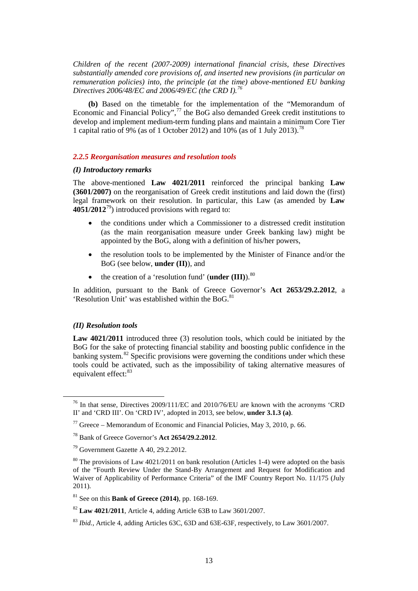*Children of the recent (2007-2009) international financial crisis, these Directives substantially amended core provisions of, and inserted new provisions (in particular on remuneration policies) into, the principle (at the time) above-mentioned EU banking Directives 2006/48/EC and 2006/49/EC (the CRD I). [76](#page-12-0)*

**(b)** Based on the timetable for the implementation of the "Memorandum of Economic and Financial Policy",<sup>[77](#page-12-1)</sup> the BoG also demanded Greek credit institutions to develop and implement medium-term funding plans and maintain a minimum Core Tier 1 capital ratio of 9% (as of 1 October 2012) and 10% (as of 1 July 2013).<sup>[78](#page-12-2)</sup>

#### *2.2.5 Reorganisation measures and resolution tools*

#### *(I) Introductory remarks*

The above-mentioned **Law 4021/2011** reinforced the principal banking **Law (3601/2007)** on the reorganisation of Greek credit institutions and laid down the (first) legal framework on their resolution. In particular, this Law (as amended by **Law 4051/2012**[79\)](#page-12-3) introduced provisions with regard to:

- the conditions under which a Commissioner to a distressed credit institution (as the main reorganisation measure under Greek banking law) might be appointed by the BoG, along with a definition of his/her powers,
- the resolution tools to be implemented by the Minister of Finance and/or the BoG (see below, **under (II)**), and
- the creation of a 'resolution fund' (**under (III**).<sup>[80](#page-12-4)</sup>

In addition, pursuant to the Bank of Greece Governor's **Act 2653/29.2.2012**, a 'Resolution Unit' was established within the BoG.<sup>[81](#page-12-5)</sup>

#### *(II) Resolution tools*

Law 4021/2011 introduced three (3) resolution tools, which could be initiated by the BoG for the sake of protecting financial stability and boosting public confidence in the banking system.<sup>[82](#page-12-6)</sup> Specific provisions were governing the conditions under which these tools could be activated, such as the impossibility of taking alternative measures of equivalent effect:<sup>[83](#page-12-7)</sup>

<span id="page-12-0"></span><sup>&</sup>lt;sup>76</sup> In that sense, Directives 2009/111/EC and 2010/76/EU are known with the acronyms 'CRD II' and 'CRD III'. On 'CRD IV', adopted in 2013, see below, **under 3.1.3 (a)**.

<span id="page-12-1"></span><sup>&</sup>lt;sup>77</sup> Greece – Memorandum of Economic and Financial Policies, May 3, 2010, p. 66.

<span id="page-12-2"></span><sup>78</sup> Bank of Greece Governor's **Act 2654/29.2.2012**.

<span id="page-12-3"></span><sup>79</sup> Government Gazette A 40, 29.2.2012.

<span id="page-12-4"></span> $80$  The provisions of Law 4021/2011 on bank resolution (Articles 1-4) were adopted on the basis of the "Fourth Review Under the Stand-By Arrangement and Request for Modification and Waiver of Applicability of Performance Criteria" of the IMF Country Report No. 11/175 (July 2011)*.* 

<span id="page-12-5"></span><sup>81</sup> See on this **Bank of Greece (2014)**, pp. 168-169.

<span id="page-12-6"></span><sup>82</sup> **Law 4021/2011**, Article 4, adding Article 63B to Law 3601/2007.

<span id="page-12-7"></span><sup>83</sup> *Ibid.*, Article 4, adding Articles 63C, 63D and 63E-63F, respectively, to Law 3601/2007.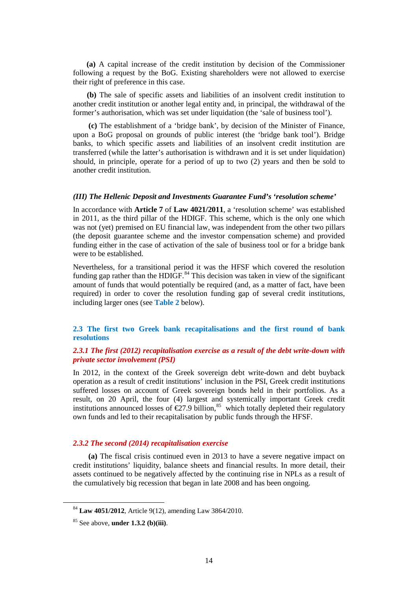**(a)** A capital increase of the credit institution by decision of the Commissioner following a request by the BoG. Existing shareholders were not allowed to exercise their right of preference in this case.

**(b)** The sale of specific assets and liabilities of an insolvent credit institution to another credit institution or another legal entity and, in principal, the withdrawal of the former's authorisation, which was set under liquidation (the 'sale of business tool').

 **(c)** The establishment of a 'bridge bank', by decision of the Minister of Finance, upon a BoG proposal on grounds of public interest (the 'bridge bank tool'). Bridge banks, to which specific assets and liabilities of an insolvent credit institution are transferred (while the latter's authorisation is withdrawn and it is set under liquidation) should, in principle, operate for a period of up to two (2) years and then be sold to another credit institution.

#### *(III) The Hellenic Deposit and Investments Guarantee Fund's 'resolution scheme'*

In accordance with **Article 7** of **Law 4021/2011**, a 'resolution scheme' was established in 2011, as the third pillar of the HDIGF. This scheme, which is the only one which was not (yet) premised on EU financial law, was independent from the other two pillars (the deposit guarantee scheme and the investor compensation scheme) and provided funding either in the case of activation of the sale of business tool or for a bridge bank were to be established.

Nevertheless, for a transitional period it was the HFSF which covered the resolution funding gap rather than the HDIGF.<sup>[84](#page-13-0)</sup> This decision was taken in view of the significant amount of funds that would potentially be required (and, as a matter of fact, have been required) in order to cover the resolution funding gap of several credit institutions, including larger ones (see **Table 2** below).

# **2.3 The first two Greek bank recapitalisations and the first round of bank resolutions**

#### *2.3.1 The first (2012) recapitalisation exercise as a result of the debt write-down with private sector involvement (PSI)*

In 2012, in the context of the Greek sovereign debt write-down and debt buyback operation as a result of credit institutions' inclusion in the PSI, Greek credit institutions suffered losses on account of Greek sovereign bonds held in their portfolios. As a result, on 20 April, the four (4) largest and systemically important Greek credit institutions announced losses of  $\epsilon$ 27.9 billion,<sup>[85](#page-13-1)</sup> which totally depleted their regulatory own funds and led to their recapitalisation by public funds through the HFSF.

#### *2.3.2 The second (2014) recapitalisation exercise*

**(a)** The fiscal crisis continued even in 2013 to have a severe negative impact on credit institutions' liquidity, balance sheets and financial results. In more detail, their assets continued to be negatively affected by the continuing rise in NPLs as a result of the cumulatively big recession that began in late 2008 and has been ongoing.

<span id="page-13-0"></span> <sup>84</sup> **Law 4051/2012**, Article 9(12), amending Law 3864/2010.

<span id="page-13-1"></span><sup>85</sup> See above, **under 1.3.2 (b)(iii)**.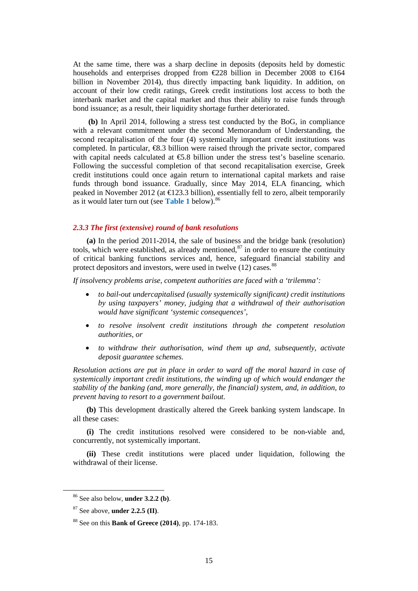At the same time, there was a sharp decline in deposits (deposits held by domestic households and enterprises dropped from  $\epsilon$ 228 billion in December 2008 to  $\epsilon$ 164 billion in November 2014), thus directly impacting bank liquidity. In addition, on account of their low credit ratings, Greek credit institutions lost access to both the interbank market and the capital market and thus their ability to raise funds through bond issuance; as a result, their liquidity shortage further deteriorated.

**(b)** In April 2014, following a stress test conducted by the BoG, in compliance with a relevant commitment under the second Memorandum of Understanding, the second recapitalisation of the four (4) systemically important credit institutions was completed. In particular, €8.3 billion were raised through the private sector, compared with capital needs calculated at  $\epsilon$ 5.8 billion under the stress test's baseline scenario. Following the successful completion of that second recapitalisation exercise, Greek credit institutions could once again return to international capital markets and raise funds through bond issuance. Gradually, since May 2014, ELA financing, which peaked in November 2012 (at  $\in$ 123.3 billion), essentially fell to zero, albeit temporarily as it would later turn out (see **Table 1** below).[86](#page-14-0)

#### *2.3.3 The first (extensive) round of bank resolutions*

 **(a)** In the period 2011-2014, the sale of business and the bridge bank (resolution) tools, which were established, as already mentioned, $^{87}$  $^{87}$  $^{87}$  in order to ensure the continuity of critical banking functions services and, hence, safeguard financial stability and protect depositors and investors, were used in twelve (12) cases.<sup>[88](#page-14-2)</sup>

*If insolvency problems arise, competent authorities are faced with a 'trilemma':* 

- *to bail-out undercapitalised (usually systemically significant) credit institutions by using taxpayers' money, judging that a withdrawal of their authorisation would have significant 'systemic consequences',*
- *to resolve insolvent credit institutions through the competent resolution authorities, or*
- *to withdraw their authorisation, wind them up and, subsequently, activate deposit guarantee schemes.*

*Resolution actions are put in place in order to ward off the moral hazard in case of systemically important credit institutions, the winding up of which would endanger the stability of the banking (and, more generally, the financial) system, and, in addition, to prevent having to resort to a government bailout.* 

 **(b)** This development drastically altered the Greek banking system landscape. In all these cases:

 **(i)** The credit institutions resolved were considered to be non-viable and, concurrently, not systemically important.

 **(ii)** These credit institutions were placed under liquidation, following the withdrawal of their license.

<span id="page-14-0"></span> <sup>86</sup> See also below, **under 3.2.2 (b)**.

<span id="page-14-1"></span><sup>87</sup> See above, **under 2.2.5 (II)**.

<span id="page-14-2"></span><sup>88</sup> See on this **Bank of Greece (2014)**, pp. 174-183.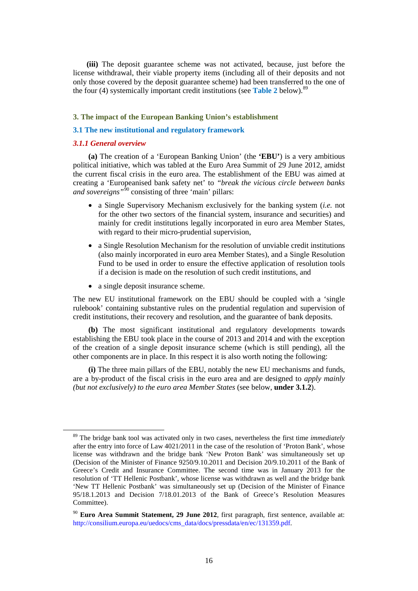**(iii)** The deposit guarantee scheme was not activated, because, just before the license withdrawal, their viable property items (including all of their deposits and not only those covered by the deposit guarantee scheme) had been transferred to the one of the four (4) systemically important credit institutions (see **Table 2** below).<sup>[89](#page-15-0)</sup>

#### **3. The impact of the European Banking Union's establishment**

#### **3.1 The new institutional and regulatory framework**

#### *3.1.1 General overview*

**(a)** The creation of a 'European Banking Union' (the **'EBU'**) is a very ambitious political initiative, which was tabled at the Euro Area Summit of 29 June 2012, amidst the current fiscal crisis in the euro area. The establishment of the EBU was aimed at creating a 'Europeanised bank safety net' to *"break the vicious circle between banks and sovereigns*<sup>"[90](#page-15-1)</sup> consisting of three 'main' pillars:

- a Single Supervisory Mechanism exclusively for the banking system (*i.e.* not for the other two sectors of the financial system, insurance and securities) and mainly for credit institutions legally incorporated in euro area Member States, with regard to their micro-prudential supervision,
- a Single Resolution Mechanism for the resolution of unviable credit institutions (also mainly incorporated in euro area Member States), and a Single Resolution Fund to be used in order to ensure the effective application of resolution tools if a decision is made on the resolution of such credit institutions, and
- a single deposit insurance scheme.

The new EU institutional framework on the EBU should be coupled with a 'single rulebook' containing substantive rules on the prudential regulation and supervision of credit institutions, their recovery and resolution, and the guarantee of bank deposits.

**(b)** The most significant institutional and regulatory developments towards establishing the EBU took place in the course of 2013 and 2014 and with the exception of the creation of a single deposit insurance scheme (which is still pending), all the other components are in place. In this respect it is also worth noting the following:

**(i)** The three main pillars of the EBU, notably the new EU mechanisms and funds, are a by-product of the fiscal crisis in the euro area and are designed to *apply mainly (but not exclusively) to the euro area Member States* (see below, **under 3.1.2**).

<span id="page-15-0"></span> <sup>89</sup> The bridge bank tool was activated only in two cases, nevertheless the first time *immediately* after the entry into force of Law 4021/2011 in the case of the resolution of 'Proton Bank', whose license was withdrawn and the bridge bank 'New Proton Bank' was simultaneously set up (Decision of the Minister of Finance 9250/9.10.2011 and Decision 20/9.10.2011 of the Bank of Greece's Credit and Insurance Committee. The second time was in January 2013 for the resolution of 'TT Hellenic Postbank', whose license was withdrawn as well and the bridge bank 'New TT Hellenic Postbank' was simultaneously set up (Decision of the Minister of Finance 95/18.1.2013 and Decision 7/18.01.2013 of the Bank of Greece's Resolution Measures Committee).

<span id="page-15-1"></span><sup>90</sup> **Euro Area Summit Statement, 29 June 2012**, first paragraph, first sentence, available at: [http://consilium.europa.eu/uedocs/cms\\_data/docs/pressdata/en/ec/131359.pdf.](http://consilium.europa.eu/uedocs/cms_data/docs/pressdata/en/ec/131359.pdf)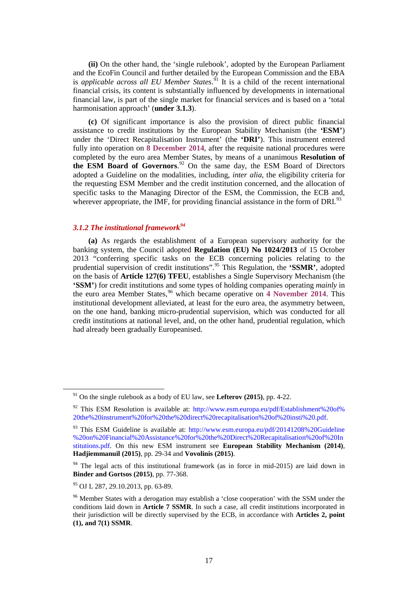**(ii)** On the other hand, the 'single rulebook', adopted by the European Parliament and the EcoFin Council and further detailed by the European Commission and the EBA is *applicable across all EU Member States*. [91](#page-16-0) It is a child of the recent international financial crisis, its content is substantially influenced by developments in international financial law, is part of the single market for financial services and is based on a 'total harmonisation approach' (**under 3.1.3**).

**(c)** Of significant importance is also the provision of direct public financial assistance to credit institutions by the European Stability Mechanism (the **'ESM'**) under the 'Direct Recapitalisation Instrument' (the **'DRI'**). This instrument entered fully into operation on **8 December 2014**, after the requisite national procedures were completed by the euro area Member States, by means of a unanimous **Resolution of the ESM Board of Governors**. [92](#page-16-1) On the same day, the ESM Board of Directors adopted a Guideline on the modalities, including, *inter alia*, the eligibility criteria for the requesting ESM Member and the credit institution concerned, and the allocation of specific tasks to the Managing Director of the ESM, the Commission, the ECB and, wherever appropriate, the IMF, for providing financial assistance in the form of DRI. $93$ 

# *3.1.2 The institutional framework[94](#page-16-3)*

**(a)** As regards the establishment of a European supervisory authority for the banking system, the Council adopted **Regulation (EU) No 1024/2013** of 15 October 2013 "conferring specific tasks on the ECB concerning policies relating to the prudential supervision of credit institutions". [95](#page-16-4) This Regulation, the **'SSMR'**, adopted on the basis of **Article 127(6) TFEU**, establishes a Single Supervisory Mechanism (the **'SSM'**) for credit institutions and some types of holding companies operating *mainly* in the euro area Member States,<sup>[96](#page-16-5)</sup> which became operative on 4 November 2014. This institutional development alleviated, at least for the euro area, the asymmetry between, on the one hand, banking micro-prudential supervision, which was conducted for all credit institutions at national level, and, on the other hand, prudential regulation, which had already been gradually Europeanised.

<span id="page-16-0"></span> <sup>91</sup> On the single rulebook as a body of EU law, see **Lefterov (2015)**, pp. 4-22.

<span id="page-16-1"></span><sup>&</sup>lt;sup>92</sup> This ESM Resolution is available at: http://www.esm.europa.eu/pdf/Establishment%20of% [20the%20instrument%20for%20the%20direct%20recapitalisation%20of%20insti%20.pdf.](http://www.esm.europa.eu/pdf/Establishment%20of%20the%20instrument%20for%20the%20direct%20recapitalisation%20of%20insti%20.pdf)

<span id="page-16-2"></span><sup>&</sup>lt;sup>93</sup> This ESM Guideline is available at: http://www.esm.europa.eu/pdf/20141208%20Guideline [%20on%20Financial%20Assistance%20for%20the%20Direct%20Recapitalisation%20of%20In](http://www.esm.europa.eu/pdf/20141208%20Guideline%20on%20Financial%20Assistance%20for%20the%20Direct%20Recapitalisation%20of%20Institutions.pdf) [stitutions.pdf.](http://www.esm.europa.eu/pdf/20141208%20Guideline%20on%20Financial%20Assistance%20for%20the%20Direct%20Recapitalisation%20of%20Institutions.pdf) On this new ESM instrument see **European Stability Mechanism (2014)**, **Hadjiemmanuil (2015)**, pp. 29-34 and **Vovolinis (2015)**.

<span id="page-16-3"></span> $94$  The legal acts of this institutional framework (as in force in mid-2015) are laid down in **Binder and Gortsos (2015)**, pp. 77-368.

<span id="page-16-4"></span><sup>95</sup> OJ L 287, 29.10.2013, pp. 63-89.

<span id="page-16-5"></span><sup>&</sup>lt;sup>96</sup> Member States with a derogation may establish a 'close cooperation' with the SSM under the conditions laid down in **Article 7 SSMR**. In such a case, all credit institutions incorporated in their jurisdiction will be directly supervised by the ECB, in accordance with **Articles 2, point (1), and 7(1) SSMR**.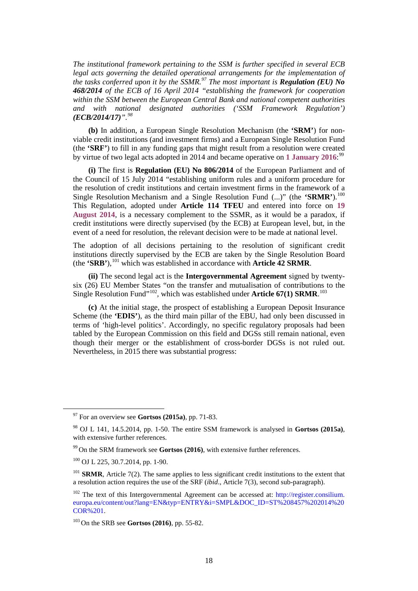*The institutional framework pertaining to the SSM is further specified in several ECB legal acts governing the detailed operational arrangements for the implementation of the tasks conferred upon it by the SSMR.[97](#page-17-0) The most important is Regulation (EU) No 468/2014 of the ECB of 16 April 2014 "establishing the framework for cooperation within the SSM between the European Central Bank and national competent authorities and with national designated authorities ('SSM Framework Regulation') (ECB/2014/17)". [98](#page-17-1)*

**(b)** In addition, a European Single Resolution Mechanism (the **'SRM'**) for nonviable credit institutions (and investment firms) and a European Single Resolution Fund (the **'SRF'**) to fill in any funding gaps that might result from a resolution were created by virtue of two legal acts adopted in 2014 and became operative on **1 January 2016**: [99](#page-17-2)

**(i)** The first is **Regulation (EU) No 806/2014** of the European Parliament and of the Council of 15 July 2014 "establishing uniform rules and a uniform procedure for the resolution of credit institutions and certain investment firms in the framework of a Single Resolution Mechanism and a Single Resolution Fund  $(...)$  (the **'SRMR'**).<sup>[100](#page-17-3)</sup> This Regulation, adopted under **Article 114 TFEU** and entered into force on **19 August 2014**, is a necessary complement to the SSMR, as it would be a paradox, if credit institutions were directly supervised (by the ECB) at European level, but, in the event of a need for resolution, the relevant decision were to be made at national level.

The adoption of all decisions pertaining to the resolution of significant credit institutions directly supervised by the ECB are taken by the Single Resolution Board (the **'SRB'**),[101](#page-17-4) which was established in accordance with **Article 42 SRMR**.

**(ii)** The second legal act is the **Intergovernmental Agreement** signed by twentysix (26) EU Member States "on the transfer and mutualisation of contributions to the Single Resolution Fund"<sup>102</sup>, which was established under **Article 67(1) SRMR**.<sup>[103](#page-17-6)</sup>

**(c)** At the initial stage, the prospect of establishing a European Deposit Insurance Scheme (the **'EDIS'**), as the third main pillar of the EBU, had only been discussed in terms of 'high-level politics'. Accordingly, no specific regulatory proposals had been tabled by the European Commission on this field and DGSs still remain national, even though their merger or the establishment of cross-border DGSs is not ruled out. Nevertheless, in 2015 there was substantial progress:

<span id="page-17-0"></span> <sup>97</sup> For an overview see **Gortsos (2015a)**, pp. 71-83.

<span id="page-17-1"></span><sup>98</sup> OJ L 141, 14.5.2014, pp. 1-50. The entire SSM framework is analysed in **Gortsos (2015a)**, with extensive further references.

<span id="page-17-2"></span><sup>99</sup> On the SRM framework see **Gortsos (2016)**, with extensive further references.

<span id="page-17-3"></span> $100$  OJ L 225, 30.7.2014, pp. 1-90.

<span id="page-17-4"></span><sup>&</sup>lt;sup>101</sup> **SRMR**, Article 7(2). The same applies to less significant credit institutions to the extent that a resolution action requires the use of the SRF (*ibid*., Article 7(3), second sub-paragraph).

<span id="page-17-5"></span><sup>&</sup>lt;sup>102</sup> The text of this Intergovernmental Agreement can be accessed at: http://register.consilium. [europa.eu/content/out?lang=EN&typ=ENTRY&i=SMPL&DOC\\_ID=ST%208457%202014%20](http://register.consilium.europa.eu/content/out?lang=EN&typ=ENTRY&i=SMPL&DOC_ID=ST%208457%202014%20COR%201) [COR%201.](http://register.consilium.europa.eu/content/out?lang=EN&typ=ENTRY&i=SMPL&DOC_ID=ST%208457%202014%20COR%201)

<span id="page-17-6"></span><sup>103</sup> On the SRB see **Gortsos (2016)**, pp. 55-82.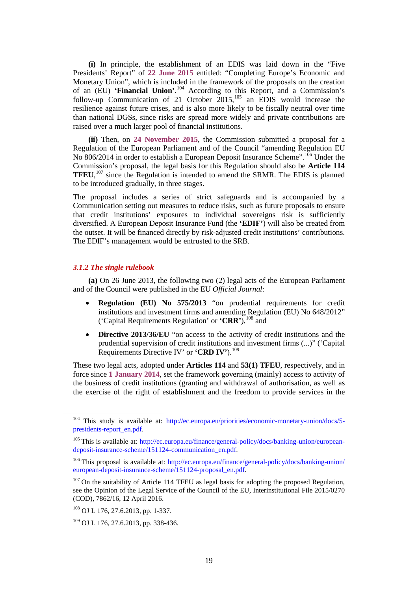**(i)** In principle, the establishment of an EDIS was laid down in the "Five Presidents' Report" of **22 June 2015** entitled: "Completing Europe's Economic and Monetary Union", which is included in the framework of the proposals on the creation of an (EU) **'Financial Union'**. [104](#page-18-0) According to this Report, and a Commission's follow-up Communication of 21 October  $2015$ ,  $^{105}$  $^{105}$  $^{105}$  an EDIS would increase the resilience against future crises, and is also more likely to be fiscally neutral over time than national DGSs, since risks are spread more widely and private contributions are raised over a much larger pool of financial institutions.

**(ii)** Then, on **24 November 2015**, the Commission submitted a proposal for a Regulation of the European Parliament and of the Council "amending Regulation EU No 806/2014 in order to establish a European Deposit Insurance Scheme".<sup>[106](#page-18-2)</sup> Under the Commission's proposal, the legal basis for this Regulation should also be **Article 114 TFEU**, [107](#page-18-3) since the Regulation is intended to amend the SRMR. The EDIS is planned to be introduced gradually, in three stages.

The proposal includes a series of strict safeguards and is accompanied by a Communication setting out measures to reduce risks, such as future proposals to ensure that credit institutions' exposures to individual sovereigns risk is sufficiently diversified. A European Deposit Insurance Fund (the **'EDIF'**) will also be created from the outset. It will be financed directly by risk-adjusted credit institutions' contributions. The EDIF's management would be entrusted to the SRB.

# *3.1.2 The single rulebook*

**(a)** On 26 June 2013, the following two (2) legal acts of the European Parliament and of the Council were published in the EU *Official Journal*:

- **Regulation (EU) No 575/2013** "on prudential requirements for credit institutions and investment firms and amending Regulation (EU) No 648/2012" ('Capital Requirements Regulation' or **'CRR'**),[108](#page-18-4) and
- **Directive 2013/36/EU** "on access to the activity of credit institutions and the prudential supervision of credit institutions and investment firms (...)" ('Capital Requirements Directive IV' or **'CRD IV'**).[109](#page-18-5)

These two legal acts, adopted under **Articles 114** and **53(1) TFEU**, respectively, and in force since **1 January 2014**, set the framework governing (mainly) access to activity of the business of credit institutions (granting and withdrawal of authorisation, as well as the exercise of the right of establishment and the freedom to provide services in the

<span id="page-18-0"></span><sup>&</sup>lt;sup>104</sup> This study is available at: [http://ec.europa.eu/priorities/economic-monetary-union/docs/5](http://ec.europa.eu/priorities/economic-monetary-union/docs/5-presidents-report_en.pdf) [presidents-report\\_en.pdf.](http://ec.europa.eu/priorities/economic-monetary-union/docs/5-presidents-report_en.pdf)

<span id="page-18-1"></span><sup>&</sup>lt;sup>105</sup> This is available at: [http://ec.europa.eu/finance/general-policy/docs/banking-union/european](http://ec.europa.eu/finance/general-policy/docs/banking-union/european-deposit-insurance-scheme/151124-communication_en.pdf)[deposit-insurance-scheme/151124-communication\\_en.pdf.](http://ec.europa.eu/finance/general-policy/docs/banking-union/european-deposit-insurance-scheme/151124-communication_en.pdf)

<span id="page-18-2"></span><sup>&</sup>lt;sup>106</sup> This proposal is available at: http://ec.europa.eu/finance/general-policy/docs/banking-union/ [european-deposit-insurance-scheme/151124-proposal\\_en.pdf.](http://ec.europa.eu/finance/general-policy/docs/banking-union/european-deposit-insurance-scheme/151124-proposal_en.pdf)

<span id="page-18-3"></span><sup>&</sup>lt;sup>107</sup> On the suitability of Article 114 TFEU as legal basis for adopting the proposed Regulation, see the Opinion of the Legal Service of the Council of the EU, Interinstitutional File 2015/0270 (COD), 7862/16, 12 April 2016.

<span id="page-18-4"></span><sup>&</sup>lt;sup>108</sup> OJ L 176, 27.6.2013, pp. 1-337.

<span id="page-18-5"></span> $109$  OJ L 176, 27.6.2013, pp. 338-436.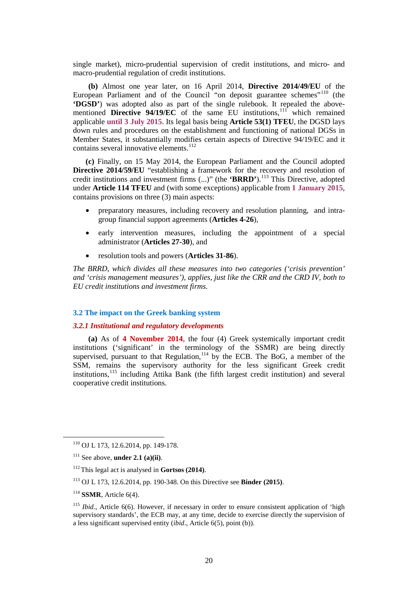single market), micro-prudential supervision of credit institutions, and micro- and macro-prudential regulation of credit institutions.

**(b)** Almost one year later, on 16 April 2014, **Directive 2014/49/EU** of the European Parliament and of the Council "on deposit guarantee schemes"<sup>[110](#page-19-0)</sup> (the **'DGSD'**) was adopted also as part of the single rulebook. It repealed the abovementioned **Directive 94/19/EC** of the same EU institutions, [111](#page-19-1) which remained applicable **until 3 July 2015**. Its legal basis being **Article 53(1) TFEU**, the DGSD lays down rules and procedures on the establishment and functioning of national DGSs in Member States, it substantially modifies certain aspects of Directive 94/19/EC and it contains several innovative elements.<sup>[112](#page-19-2)</sup>

**(c)** Finally, on 15 May 2014, the European Parliament and the Council adopted **Directive 2014/59/EU** "establishing a framework for the recovery and resolution of credit institutions and investment firms (...)" (the **'BRRD'**).[113](#page-19-3) This Directive, adopted under **Article 114 TFEU** and (with some exceptions) applicable from **1 January 2015**, contains provisions on three (3) main aspects:

- preparatory measures, including recovery and resolution planning, and intragroup financial support agreements (**Articles 4-26**),
- early intervention measures, including the appointment of a special administrator (**Articles 27-30**), and
- resolution tools and powers (**Articles 31-86**).

*The BRRD, which divides all these measures into two categories ('crisis prevention' and 'crisis management measures'), applies, just like the CRR and the CRD IV, both to EU credit institutions and investment firms.*

# **3.2 The impact on the Greek banking system**

# *3.2.1 Institutional and regulatory developments*

**(a)** As of **4 November 2014**, the four (4) Greek systemically important credit institutions ('significant' in the terminology of the SSMR) are being directly supervised, pursuant to that Regulation,  $114$  by the ECB. The BoG, a member of the SSM, remains the supervisory authority for the less significant Greek credit institutions,<sup>[115](#page-19-5)</sup> including Attika Bank (the fifth largest credit institution) and several cooperative credit institutions.

<span id="page-19-0"></span> <sup>110</sup> OJ L 173, 12.6.2014, pp. 149-178.

<span id="page-19-1"></span><sup>111</sup> See above, **under 2.1 (a)(ii)**.

<span id="page-19-2"></span><sup>112</sup> This legal act is analysed in **Gortsos (2014)**.

<span id="page-19-3"></span><sup>113</sup> OJ L 173, 12.6.2014, pp. 190-348. On this Directive see **Binder (2015)**.

<span id="page-19-4"></span><sup>114</sup> **SSMR**, Article 6(4).

<span id="page-19-5"></span><sup>115</sup> *Ibid*., Article 6(6). However, if necessary in order to ensure consistent application of 'high supervisory standards', the ECB may, at any time, decide to exercise directly the supervision of a less significant supervised entity (*ibid*., Article 6(5), point (b)).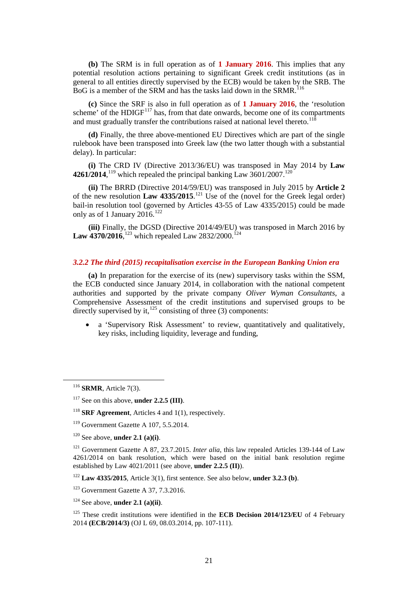**(b)** The SRM is in full operation as of **1 January 2016**. This implies that any potential resolution actions pertaining to significant Greek credit institutions (as in general to all entities directly supervised by the ECB) would be taken by the SRB. The BoG is a member of the SRM and has the tasks laid down in the SRMR.<sup>[116](#page-20-0)</sup>

**(c)** Since the SRF is also in full operation as of **1 January 2016**, the 'resolution scheme' of the  $HDIGF<sup>117</sup>$  $HDIGF<sup>117</sup>$  $HDIGF<sup>117</sup>$  has, from that date onwards, become one of its compartments and must gradually transfer the contributions raised at national level thereto.<sup>[118](#page-20-2)</sup>

**(d)** Finally, the three above-mentioned EU Directives which are part of the single rulebook have been transposed into Greek law (the two latter though with a substantial delay). In particular:

**(i)** The CRD IV (Directive 2013/36/EU) was transposed in May 2014 by **Law 4261/2014**, <sup>[119](#page-20-3)</sup> which repealed the principal banking Law  $3601/2007$ .<sup>[120](#page-20-4)</sup>

**(ii)** The BRRD (Directive 2014/59/EU) was transposed in July 2015 by **Article 2** of the new resolution **Law 4335/2015**. [121](#page-20-5) Use of the (novel for the Greek legal order) bail-in resolution tool (governed by Articles 43-55 of Law 4335/2015) could be made only as of 1 January 2016.<sup>[122](#page-20-6)</sup>

**(iii)** Finally, the DGSD (Directive 2014/49/EU) was transposed in March 2016 by **Law 4370/2016**, <sup>[123](#page-20-7)</sup> which repealed Law 2832/2000.<sup>[124](#page-20-8)</sup>

# *3.2.2 The third (2015) recapitalisation exercise in the European Banking Union era*

**(a)** In preparation for the exercise of its (new) supervisory tasks within the SSM, the ECB conducted since January 2014, in collaboration with the national competent authorities and supported by the private company *Oliver Wyman Consultants*, a Comprehensive Assessment of the credit institutions and supervised groups to be directly supervised by it, $^{125}$  $^{125}$  $^{125}$  consisting of three (3) components:

• a 'Supervisory Risk Assessment' to review, quantitatively and qualitatively, key risks, including liquidity, leverage and funding,

<span id="page-20-5"></span><sup>121</sup> Government Gazette A 87, 23.7.2015. *Inter alia*, this law repealed Articles 139-144 of Law 4261/2014 on bank resolution, which were based on the initial bank resolution regime established by Law 4021/2011 (see above, **under 2.2.5 (II)**).

<span id="page-20-6"></span><sup>122</sup> **Law 4335/2015**, Article 3(1), first sentence. See also below, **under 3.2.3 (b)**.

<span id="page-20-7"></span> $123$  Government Gazette A 37, 7.3.2016.

<span id="page-20-8"></span><sup>124</sup> See above, **under 2.1 (a)(ii)**.

<span id="page-20-0"></span> <sup>116</sup> **SRMR**, Article 7(3).

<span id="page-20-1"></span><sup>&</sup>lt;sup>117</sup> See on this above, **under 2.2.5 (III)**.

<span id="page-20-2"></span><sup>&</sup>lt;sup>118</sup> **SRF Agreement**, Articles 4 and 1(1), respectively.

<span id="page-20-3"></span><sup>119</sup> Government Gazette Α 107, 5.5.2014.

<span id="page-20-4"></span><sup>120</sup> See above, **under 2.1 (a)(i)**.

<span id="page-20-9"></span><sup>&</sup>lt;sup>125</sup> These credit institutions were identified in the **ECB Decision 2014/123/EU** of 4 February 2014 **(ECB/2014/3)** (OJ L 69, 08.03.2014, pp. 107-111).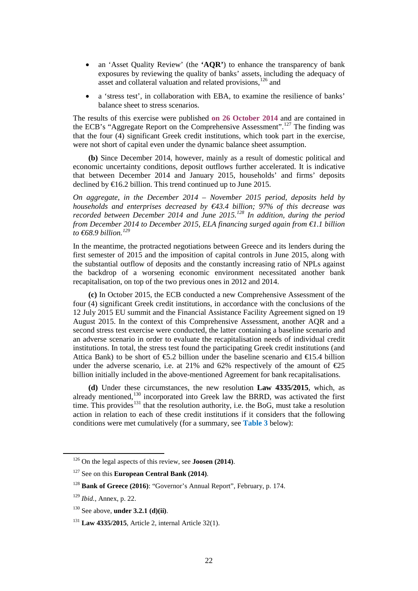- an 'Asset Quality Review' (the **'AQR'**) to enhance the transparency of bank exposures by reviewing the quality of banks' assets, including the adequacy of asset and collateral valuation and related provisions,<sup>[126](#page-21-0)</sup> and
- a 'stress test', in collaboration with EBA, to examine the resilience of banks' balance sheet to stress scenarios.

The results of this exercise were published **on 26 October 2014** and are contained in the ECB's "Aggregate Report on the Comprehensive Assessment".<sup>[127](#page-21-1)</sup> The finding was that the four (4) significant Greek credit institutions, which took part in the exercise, were not short of capital even under the dynamic balance sheet assumption.

**(b)** Since December 2014, however, mainly as a result of domestic political and economic uncertainty conditions, deposit outflows further accelerated. It is indicative that between December 2014 and January 2015, households' and firms' deposits declined by €16.2 billion. This trend continued up to June 2015.

*On aggregate, in the December 2014 – November 2015 period, deposits held by households and enterprises decreased by €43.4 billion; 97% of this decrease was recorded between December 2014 and June 2015.[128](#page-21-2) In addition, during the period from December 2014 to December 2015, ELA financing surged again from €1.1 billion to €68.9 billion. [129](#page-21-3)*

In the meantime, the protracted negotiations between Greece and its lenders during the first semester of 2015 and the imposition of capital controls in June 2015, along with the substantial outflow of deposits and the constantly increasing ratio of NPLs against the backdrop of a worsening economic environment necessitated another bank recapitalisation, on top of the two previous ones in 2012 and 2014.

**(c)** In October 2015, the ECB conducted a new Comprehensive Assessment of the four (4) significant Greek credit institutions, in accordance with the conclusions of the 12 July 2015 EU summit and the Financial Assistance Facility Agreement signed on 19 August 2015. In the context of this Comprehensive Assessment, another AQR and a second stress test exercise were conducted, the latter containing a baseline scenario and an adverse scenario in order to evaluate the recapitalisation needs of individual credit institutions. In total, the stress test found the participating Greek credit institutions (and Attica Bank) to be short of  $\epsilon$ 5.2 billion under the baseline scenario and  $\epsilon$ 6.5.4 billion under the adverse scenario, i.e. at 21% and 62% respectively of the amount of  $E$ 5 billion initially included in the above-mentioned Agreement for bank recapitalisations.

**(d)** Under these circumstances, the new resolution **Law 4335/2015**, which, as already mentioned,<sup>[130](#page-21-4)</sup> incorporated into Greek law the BRRD, was activated the first time. This provides<sup>[131](#page-21-5)</sup> that the resolution authority, i.e. the BoG, must take a resolution action in relation to each of these credit institutions if it considers that the following conditions were met cumulatively (for a summary, see **Table 3** below):

<span id="page-21-0"></span> <sup>126</sup> On the legal aspects of this review, see **Joosen (2014)**.

<span id="page-21-1"></span><sup>127</sup> See on this **European Central Bank (2014)**.

<span id="page-21-2"></span><sup>128</sup> **Bank of Greece (2016)**: "Governor's Annual Report", February, p. 174.

<span id="page-21-3"></span><sup>129</sup> *Ibid.*, Annex, p. 22.

<span id="page-21-4"></span><sup>130</sup> See above, **under 3.2.1 (d)(ii)**.

<span id="page-21-5"></span><sup>131</sup> **Law 4335/2015**, Article 2, internal Article 32(1).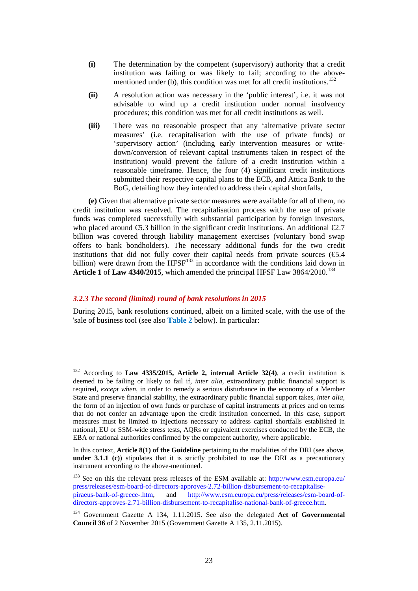- **(i)** The determination by the competent (supervisory) authority that a credit institution was failing or was likely to fail; according to the above-mentioned under (b), this condition was met for all credit institutions.<sup>[132](#page-22-0)</sup>
- **(ii)** A resolution action was necessary in the 'public interest', i.e. it was not advisable to wind up a credit institution under normal insolvency procedures; this condition was met for all credit institutions as well.
- **(iii)** There was no reasonable prospect that any 'alternative private sector measures' (i.e. recapitalisation with the use of private funds) or 'supervisory action' (including early intervention measures or writedown/conversion of relevant capital instruments taken in respect of the institution) would prevent the failure of a credit institution within a reasonable timeframe. Hence, the four (4) significant credit institutions submitted their respective capital plans to the ECB, and Attica Bank to the BoG, detailing how they intended to address their capital shortfalls,

**(e)** Given that alternative private sector measures were available for all of them, no credit institution was resolved. The recapitalisation process with the use of private funds was completed successfully with substantial participation by foreign investors, who placed around  $\epsilon$ 5.3 billion in the significant credit institutions. An additional  $\epsilon$ 2.7 billion was covered through liability management exercises (voluntary bond swap offers to bank bondholders). The necessary additional funds for the two credit institutions that did not fully cover their capital needs from private sources  $(65.4)$ billion) were drawn from the HFSF<sup>[133](#page-22-1)</sup> in accordance with the conditions laid down in **Article 1** of **Law 4340/2015**, which amended the principal HFSF Law 3864/2010.<sup>[134](#page-22-2)</sup>

# *3.2.3 The second (limited) round of bank resolutions in 2015*

During 2015, bank resolutions continued, albeit on a limited scale, with the use of the 'sale of business tool (see also **Table 2** below). In particular:

<span id="page-22-0"></span> <sup>132</sup> According to **Law 4335/2015, Article 2, internal Article 32(4)**, a credit institution is deemed to be failing or likely to fail if, *inter alia*, extraordinary public financial support is required, *except when*, in order to remedy a serious disturbance in the economy of a Member State and preserve financial stability, the extraordinary public financial support takes, *inter alia*, the form of an injection of own funds or purchase of capital instruments at prices and on terms that do not confer an advantage upon the credit institution concerned. In this case, support measures must be limited to injections necessary to address capital shortfalls established in national, EU or SSM-wide stress tests, AQRs or equivalent exercises conducted by the ECB, the EBA or national authorities confirmed by the competent authority, where applicable.

In this context, **Article 8(1) of the Guideline** pertaining to the modalities of the DRI (see above, **under 3.1.1 (c)**) stipulates that it is strictly prohibited to use the DRI as a precautionary instrument according to the above-mentioned.

<span id="page-22-1"></span><sup>&</sup>lt;sup>133</sup> See on this the relevant press releases of the ESM available at: http://www.esm.europa.eu/ [press/releases/esm-board-of-directors-approves-2.72-billion-disbursement-to-recapitalise](http://www.esm.europa.eu/%20press/releases/esm-board-of-directors-approves-2.72-billion-disbursement-to-recapitalise-piraeus-bank-of-greece-.htm)[piraeus-bank-of-greece-.htm,](http://www.esm.europa.eu/%20press/releases/esm-board-of-directors-approves-2.72-billion-disbursement-to-recapitalise-piraeus-bank-of-greece-.htm) and [http://www.esm.europa.eu/press/releases/esm-board-of](http://www.esm.europa.eu/press/releases/esm-board-of-directors-approves-2.71-billion-disbursement-to-recapitalise-national-bank-of-greece.htm)[directors-approves-2.71-billion-disbursement-to-recapitalise-national-bank-of-greece.htm.](http://www.esm.europa.eu/press/releases/esm-board-of-directors-approves-2.71-billion-disbursement-to-recapitalise-national-bank-of-greece.htm)

<span id="page-22-2"></span><sup>134</sup> Government Gazette A 134, 1.11.2015. See also the delegated **Act of Governmental Council 36** of 2 November 2015 (Government Gazette A 135, 2.11.2015).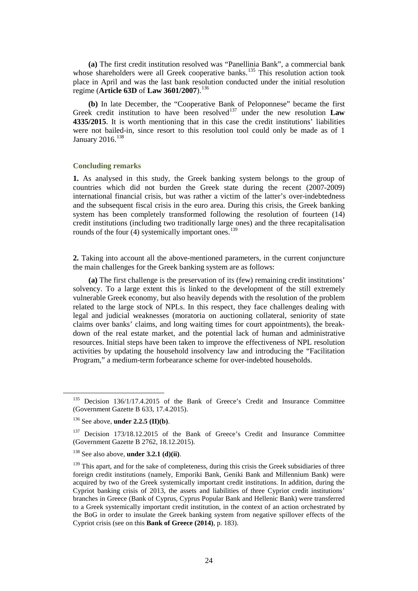**(a)** The first credit institution resolved was "Panellinia Bank", a commercial bank whose shareholders were all Greek cooperative banks.<sup>[135](#page-23-0)</sup> This resolution action took place in April and was the last bank resolution conducted under the initial resolution regime (**Article 63D** of **Law 3601/2007**).[136](#page-23-1)

**(b)** In late December, the "Cooperative Bank of Peloponnese" became the first Greek credit institution to have been resolved<sup>[137](#page-23-2)</sup> under the new resolution  $Law$ **4335/2015**. It is worth mentioning that in this case the credit institutions' liabilities were not bailed-in, since resort to this resolution tool could only be made as of 1 January 2016.<sup>[138](#page-23-3)</sup>

#### **Concluding remarks**

**1.** As analysed in this study, the Greek banking system belongs to the group of countries which did not burden the Greek state during the recent (2007-2009) international financial crisis, but was rather a victim of the latter's over-indebtedness and the subsequent fiscal crisis in the euro area. During this crisis, the Greek banking system has been completely transformed following the resolution of fourteen (14) credit institutions (including two traditionally large ones) and the three recapitalisation rounds of the four (4) systemically important ones.<sup>[139](#page-23-4)</sup>

**2.** Taking into account all the above-mentioned parameters, in the current conjuncture the main challenges for the Greek banking system are as follows:

 **(a)** The first challenge is the preservation of its (few) remaining credit institutions' solvency. To a large extent this is linked to the development of the still extremely vulnerable Greek economy, but also heavily depends with the resolution of the problem related to the large stock of NPLs. In this respect, they face challenges dealing with legal and judicial weaknesses (moratoria on auctioning collateral, seniority of state claims over banks' claims, and long waiting times for court appointments), the breakdown of the real estate market, and the potential lack of human and administrative resources. Initial steps have been taken to improve the effectiveness of NPL resolution activities by updating the household insolvency law and introducing the "Facilitation Program," a medium-term forbearance scheme for over-indebted households.

<span id="page-23-0"></span><sup>&</sup>lt;sup>135</sup> Decision 136/1/17.4.2015 of the Bank of Greece's Credit and Insurance Committee (Government Gazette B 633, 17.4.2015).

<span id="page-23-1"></span><sup>136</sup> See above, **under 2.2.5 (II)(b)**.

<span id="page-23-2"></span><sup>&</sup>lt;sup>137</sup> Decision 173/18.12.2015 of the Bank of Greece's Credit and Insurance Committee (Government Gazette B 2762, 18.12.2015).

<sup>138</sup> See also above, **under 3.2.1 (d)(ii)**.

<span id="page-23-4"></span><span id="page-23-3"></span> $139$  This apart, and for the sake of completeness, during this crisis the Greek subsidiaries of three foreign credit institutions (namely, Emporiki Bank, Geniki Bank and Millennium Bank) were acquired by two of the Greek systemically important credit institutions. In addition, during the Cypriot banking crisis of 2013, the assets and liabilities of three Cypriot credit institutions' branches in Greece (Bank of Cyprus, Cyprus Popular Bank and Hellenic Bank) were transferred to a Greek systemically important credit institution, in the context of an action orchestrated by the BoG in order to insulate the Greek banking system from negative spillover effects of the Cypriot crisis (see on this **Bank of Greece (2014)**, p. 183).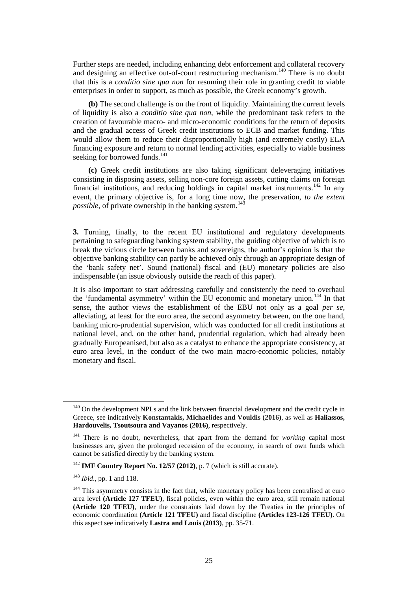Further steps are needed, including enhancing debt enforcement and collateral recovery and designing an effective out-of-court restructuring mechanism.<sup>[140](#page-24-0)</sup> There is no doubt that this is a *conditio sine qua non* for resuming their role in granting credit to viable enterprises in order to support, as much as possible, the Greek economy's growth.

**(b)** The second challenge is on the front of liquidity. Maintaining the current levels of liquidity is also a *conditio sine qua non*, while the predominant task refers to the creation of favourable macro- and micro-economic conditions for the return of deposits and the gradual access of Greek credit institutions to ECB and market funding. This would allow them to reduce their disproportionally high (and extremely costly) ELA financing exposure and return to normal lending activities, especially to viable business seeking for borrowed funds.<sup>[141](#page-24-1)</sup>

**(c)** Greek credit institutions are also taking significant deleveraging initiatives consisting in disposing assets, selling non-core foreign assets, cutting claims on foreign financial institutions, and reducing holdings in capital market instruments.<sup>[142](#page-24-2)</sup> In any event, the primary objective is, for a long time now, the preservation, *to the extent possible*, of private ownership in the banking system. [143](#page-24-3)

**3.** Turning, finally, to the recent EU institutional and regulatory developments pertaining to safeguarding banking system stability, the guiding objective of which is to break the vicious circle between banks and sovereigns, the author's opinion is that the objective banking stability can partly be achieved only through an appropriate design of the 'bank safety net'. Sound (national) fiscal and (EU) monetary policies are also indispensable (an issue obviously outside the reach of this paper).

It is also important to start addressing carefully and consistently the need to overhaul the 'fundamental asymmetry' within the EU economic and monetary union.<sup>[144](#page-24-4)</sup> In that sense, the author views the establishment of the EBU not only as a goal *per se*, alleviating, at least for the euro area, the second asymmetry between, on the one hand, banking micro-prudential supervision, which was conducted for all credit institutions at national level, and, on the other hand, prudential regulation, which had already been gradually Europeanised, but also as a catalyst to enhance the appropriate consistency, at euro area level, in the conduct of the two main macro-economic policies, notably monetary and fiscal.

<span id="page-24-0"></span><sup>&</sup>lt;sup>140</sup> On the development NPLs and the link between financial development and the credit cycle in Greece, see indicatively **Konstantakis, Michaelides and Vouldis (2016)**, as well as **Haliassos, Hardouvelis, Tsoutsoura and Vayanos (2016)**, respectively.

<span id="page-24-1"></span><sup>141</sup> There is no doubt, nevertheless, that apart from the demand for *working* capital most businesses are, given the prolonged recession of the economy, in search of own funds which cannot be satisfied directly by the banking system.

<span id="page-24-2"></span><sup>142</sup> **IMF Country Report No. 12/57 (2012)**, p. 7 (which is still accurate).

<span id="page-24-3"></span><sup>143</sup> *Ibid*., pp. 1 and 118.

<span id="page-24-4"></span><sup>&</sup>lt;sup>144</sup> This asymmetry consists in the fact that, while monetary policy has been centralised at euro area level **(Article 127 TFEU)**, fiscal policies, even within the euro area, still remain national **(Article 120 TFEU)**, under the constraints laid down by the Treaties in the principles of economic coordination **(Article 121 TFEU)** and fiscal discipline **(Articles 123-126 TFEU)**. On this aspect see indicatively **Lastra and Louis (2013)**, pp. 35-71.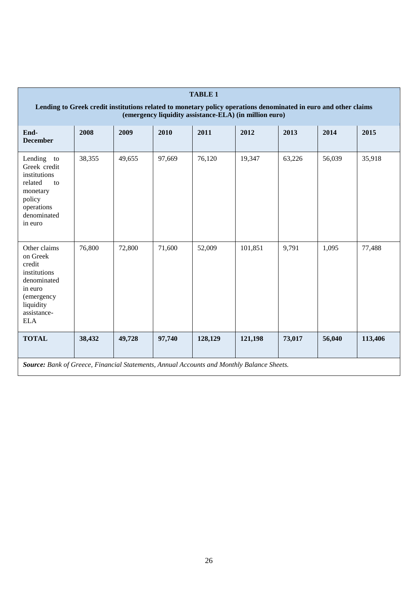| <b>TABLE 1</b>                                                                                                                                                            |        |        |        |         |         |        |        |         |  |  |
|---------------------------------------------------------------------------------------------------------------------------------------------------------------------------|--------|--------|--------|---------|---------|--------|--------|---------|--|--|
| Lending to Greek credit institutions related to monetary policy operations denominated in euro and other claims<br>(emergency liquidity assistance-ELA) (in million euro) |        |        |        |         |         |        |        |         |  |  |
| End-<br><b>December</b>                                                                                                                                                   | 2008   | 2009   | 2010   | 2011    | 2012    | 2013   | 2014   | 2015    |  |  |
| Lending<br>to<br>Greek credit<br>institutions<br>related<br>to<br>monetary<br>policy<br>operations<br>denominated<br>in euro                                              | 38,355 | 49,655 | 97,669 | 76,120  | 19,347  | 63,226 | 56,039 | 35,918  |  |  |
| Other claims<br>on Greek<br>credit<br>institutions<br>denominated<br>in euro<br>(emergency<br>liquidity<br>assistance-<br><b>ELA</b>                                      | 76,800 | 72,800 | 71,600 | 52,009  | 101,851 | 9,791  | 1,095  | 77,488  |  |  |
| <b>TOTAL</b>                                                                                                                                                              | 38,432 | 49,728 | 97,740 | 128,129 | 121,198 | 73,017 | 56,040 | 113,406 |  |  |
| Source: Bank of Greece, Financial Statements, Annual Accounts and Monthly Balance Sheets.                                                                                 |        |        |        |         |         |        |        |         |  |  |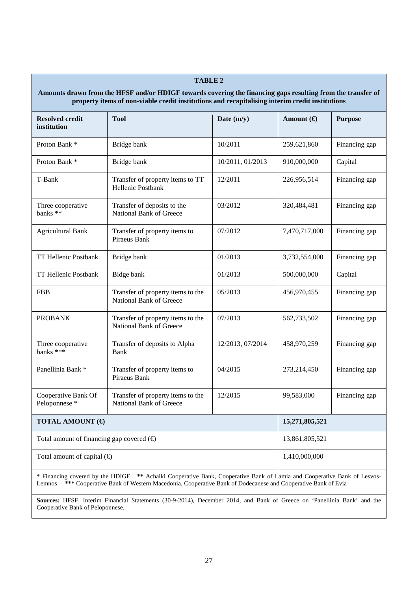# **Amounts drawn from the HFSF and/or HDIGF towards covering the financing gaps resulting from the transfer of property items of non-viable credit institutions and recapitalising interim credit institutions Resolved credit institution Tool Date (m/y) Amount (€) Purpose** Proton Bank \* | Bridge bank | 10/2011 | 259,621,860 | Financing gap Proton Bank \* | Bridge bank | 10/2011, 01/2013 | 910,000,000 | Capital T-Bank Transfer of property items to TT Hellenic Postbank 12/2011 226,956,514 Financing gap Three cooperative banks \*\* Transfer of deposits to the National Bank of Greece 03/2012 320,484,481 Financing gap Agricultural Bank Transfer of property items to Piraeus Bank 07/2012 7,470,717,000 Financing gap TT Hellenic Postbank Bridge bank 01/2013 3,732,554,000 Financing gap TT Hellenic Postbank Bidge bank 01/2013 500,000,000 Capital FBB Transfer of property items to the National Bank of Greece 05/2013 156,970,455 Financing gap PROBANK Transfer of property items to the National Bank of Greece 07/2013 **562,733,502** Financing gap Three cooperative banks \*\*\* Transfer of deposits to Alpha Bank 12/2013, 07/2014 458,970,259 Financing gap Panellinia Bank \* Transfer of property items to Piraeus Bank 04/2015 | 273,214,450 | Financing gap Cooperative Bank Of Peloponnese \* Transfer of property items to the National Bank of Greece 12/2015 99,583,000 Financing gap **TOTAL AMOUNT (€) 15,271,805,521** Total amount of financing gap covered (€) 13,861,805,521 Total amount of capital  $(\bigoplus$  1,410,000,000

**TABLE 2**

**\*** Financing covered by the HDIGF **\*\*** Achaiki Cooperative Bank, Cooperative Bank of Lamia and Cooperative Bank of Lesvos-Lemnos **\*\*\*** Cooperative Bank of Western Macedonia, Cooperative Bank of Dodecanese and Cooperative Bank of Evia

**Sources:** HFSF, Interim Financial Statements (30-9-2014), December 2014, and Bank of Greece on 'Panellinia Bank' and the Cooperative Bank of Peloponnese.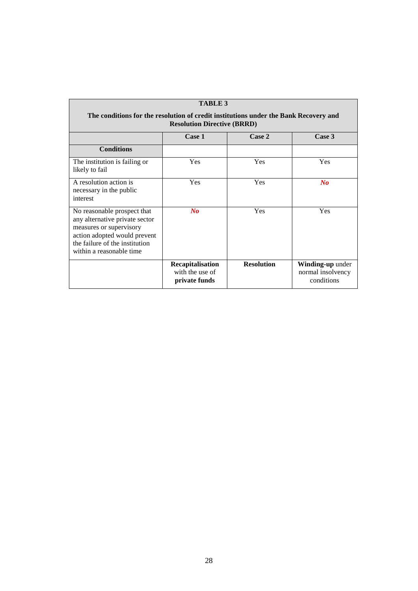| <b>TABLE 3</b>                                                                                                                                                                         |                                                             |                   |                                                     |  |  |  |  |  |  |
|----------------------------------------------------------------------------------------------------------------------------------------------------------------------------------------|-------------------------------------------------------------|-------------------|-----------------------------------------------------|--|--|--|--|--|--|
| The conditions for the resolution of credit institutions under the Bank Recovery and<br><b>Resolution Directive (BRRD)</b>                                                             |                                                             |                   |                                                     |  |  |  |  |  |  |
|                                                                                                                                                                                        | Case 1                                                      | Case 2            | Case 3                                              |  |  |  |  |  |  |
| <b>Conditions</b>                                                                                                                                                                      |                                                             |                   |                                                     |  |  |  |  |  |  |
| The institution is failing or<br>likely to fail                                                                                                                                        | <b>Yes</b>                                                  | Yes               | Yes                                                 |  |  |  |  |  |  |
| A resolution action is<br>necessary in the public<br>interest                                                                                                                          | <b>Yes</b>                                                  | <b>Yes</b>        | $\bf{N}$ o                                          |  |  |  |  |  |  |
| No reasonable prospect that<br>any alternative private sector<br>measures or supervisory<br>action adopted would prevent<br>the failure of the institution<br>within a reasonable time | $\bf{N}$ o                                                  | <b>Yes</b>        | Yes                                                 |  |  |  |  |  |  |
|                                                                                                                                                                                        | <b>Recapitalisation</b><br>with the use of<br>private funds | <b>Resolution</b> | Winding-up under<br>normal insolvency<br>conditions |  |  |  |  |  |  |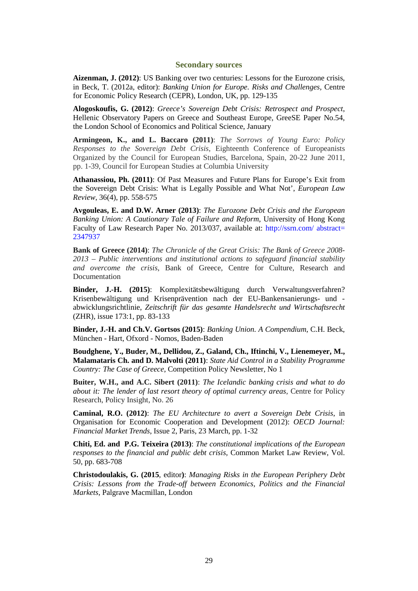#### **Secondary sources**

**Aizenman, J. (2012)**: US Banking over two centuries: Lessons for the Eurozone crisis, in Beck, T. (2012a, editor): *Banking Union for Europe. Risks and Challenges,* Centre for Economic Policy Research (CEPR), London, UK, pp. 129-135

**Alogoskoufis, G. (2012)**: *Greece's Sovereign Debt Crisis: Retrospect and Prospect*, Hellenic Observatory Papers on Greece and Southeast Europe, GreeSE Paper No.54, the London School of Economics and Political Science, January

**Armingeon, K., and L. Baccaro (2011)**: *The Sorrows of Young Euro: Policy Responses to the Sovereign Debt Crisis,* Eighteenth Conference of Europeanists Organized by the Council for European Studies, Barcelona, Spain, 20-22 June 2011, pp. 1-39, Council for European Studies at Columbia University

**Athanassiou, Ph. (2011)**: Of Past Measures and Future Plans for Europe's Exit from the Sovereign Debt Crisis: What is Legally Possible and What Not', *European Law Review*, 36(4), pp. 558-575

**Avgouleas, E. and D.W. Arner (2013)**: *The Eurozone Debt Crisis and the European Banking Union: A Cautionary Tale of Failure and Reform*, University of Hong Kong Faculty of Law Research Paper No. 2013/037, available at: [http://ssrn.com/ abstract=](http://papers.ssrn.com/sol3/papers.cfm?abstract_id=2435847)  [2347937](http://papers.ssrn.com/sol3/papers.cfm?abstract_id=2435847) 

**Bank of Greece (2014)**: *The Chronicle of the Great Crisis: The Bank of Greece 2008- 2013 – Public interventions and institutional actions to safeguard financial stability and overcome the crisis*, Bank of Greece, Centre for Culture, Research and Documentation

**Binder, J.-H. (2015)**: Komplexitätsbewältigung durch Verwaltungsverfahren? Krisenbewältigung und Krisenprävention nach der EU-Bankensanierungs- und abwicklungsrichtlinie, *Zeitschrift für das gesamte Handelsrecht und Wirtschaftsrecht* (ZHR), issue 173:1, pp. 83-133

**Binder, J.-H. and Ch.V. Gortsos (2015)**: *Banking Union. A Compendium*, C.H. Beck, München - Hart, Ofxord - Nomos, Baden-Baden

**Boudghene, Y., Buder, M., Dellidou, Z., Galand, Ch., Iftinchi, V., Lienemeyer, M., Malamataris Ch. and D. Malvolti (2011)**: *State Aid Control in a Stability Programme Country: The Case of Greece*, Competition Policy Newsletter, No 1

**Buiter, W.H., and A.C. Sibert (2011)**: *[The Icelandic banking crisis and what to do](http://willembuiter.com/iceland.pdf)  [about it: The lender of last resort theory of optimal currency areas](http://willembuiter.com/iceland.pdf)*, Centre for Policy Research, Policy Insight, No. 26

**Caminal, R.O. (2012)**: *The EU Architecture to avert a Sovereign Debt Crisis*, in Organisation for Economic Cooperation and Development (2012): *OECD Journal: Financial Market Trends*, Issue 2, Paris, 23 March, pp. 1-32

**Chiti, Ed. and P.G. Teixeira (2013)**: *The constitutional implications of the European responses to the financial and public debt crisis,* Common Market Law Review, Vol. 50, pp. 683-708

**Christodoulakis, G. (2015**, editor**)**: *Managing Risks in the European Periphery Debt Crisis: Lessons from the Trade-off between Economics, Politics and the Financial Markets*, Palgrave Macmillan, London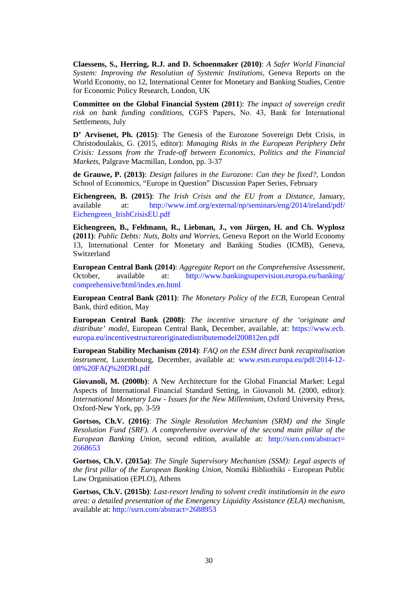**Claessens, S., Herring, R.J. and D. Schoenmaker (2010)**: *A Safer World Financial System: Improving the Resolution of Systemic Institutions*, Geneva Reports on the World Economy, no 12, International Center for Monetary and Banking Studies, Centre for Economic Policy Research, London, UK

**Committee on the Global Financial System (2011**): *The impact of sovereign credit risk on bank funding conditions*, CGFS Papers, Νo. 43, Bank for International Settlements, July

**D' Arvisenet, Ph. (2015)**: The Genesis of the Eurozone Sovereign Debt Crisis, in Christodoulakis, G. (2015, editor): *Managing Risks in the European Periphery Debt Crisis: Lessons from the Trade-off between Economics, Politics and the Financial Markets*, Palgrave Macmillan, London, pp. 3-37

**de Grauwe, P. (2013)**: *Design failures in the Eurozone: Can they be fixed?*, London School of Economics, "Europe in Question" Discussion Paper Series, February

**Eichengreen, B. (2015)**: *The Irish Crisis and the EU from a Distance*, January, available at: [http://www.imf.org/external/np/seminars/eng/2014/ireland/pdf/](http://www.imf.org/external/np/seminars/eng/2014/ireland/pdf/%20Eichengreen_IrishCrisisEU.pdf)  [Eichengreen\\_IrishCrisisEU.pdf](http://www.imf.org/external/np/seminars/eng/2014/ireland/pdf/%20Eichengreen_IrishCrisisEU.pdf)

**Eichengreen, B., Feldmann, R., Liebman, J., von Jürgen, H. and Ch. Wyplosz (2011)**: *Public Debts: Nuts, Bolts and Worries*, Geneva Report on the World Economy 13, International Center for Monetary and Banking Studies (ICMB), Geneva, Switzerland

**European Central Bank (2014)**: *Aggregate Report on the Comprehensive Assessment*, October, available at: http://www.bankingsupervision.europa.eu/banking/ comprehensive/html/index.en.html

**European Central Bank (2011)**: *The Monetary Policy of the ECB*, European Central Bank, third edition, May

**European Central Bank (2008)**: *The incentive structure of the 'originate and distribute' model*, European Central Bank, December, available, at: https://www.ecb. europa.eu/incentivestructureoriginatedistributemodel200812en.pdf

**European Stability Mechanism (2014)**: *FAQ on the ESM direct bank recapitalisation instrument*, Luxembourg, December, available at: www.esm.europa.eu/pdf/2014-12-08%20FAQ%20DRI.pdf

**Giovanoli, M. (2000b)**: A New Architecture for the Global Financial Market: Legal Aspects of International Financial Standard Setting, in Giovanoli M. (2000, editor): *International Monetary Law - Issues for the New Millennium*, Oxford University Press, Oxford-New York, pp. 3-59

**Gortsos, Ch.V. (2016)**: *The Single Resolution Mechanism (SRM) and the Single Resolution Fund (SRF). A comprehensive overview of the second main pillar of the European Banking Union*, second edition, available at: [http://ssrn.com/abstract=](http://ssrn.com/abstract=%202668653)  [2668653](http://ssrn.com/abstract=%202668653) 

**Gortsos, Ch.V. (2015a)**: *The Single Supervisory Mechanism (SSM): Legal aspects of the first pillar of the European Banking Union*, Nomiki Bibliothiki - European Public Law Organisation (EPLO), Athens

**Gortsos, Ch.V. (2015b)**: *Last-resort lending to solvent credit institutionsin in the euro area: a detailed presentation of the Emergency Liquidity Assistance (ELA) mechanism*, available at: http://ssrn.com/abstract=2688953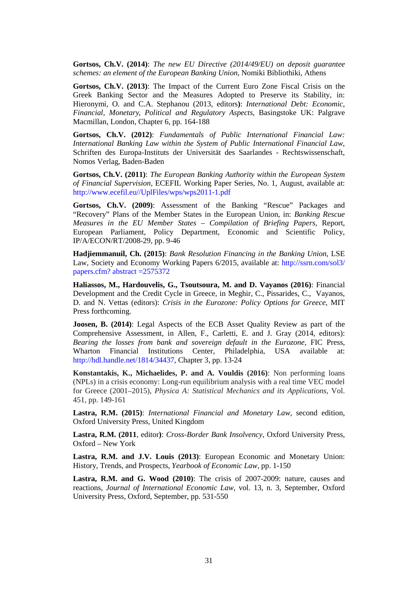**Gortsos, Ch.V. (2014)**: *The new EU Directive (2014/49/EU) on deposit guarantee schemes: an element of the European Banking Union*, Nomiki Bibliothiki, Athens

**Gortsos, Ch.V. (2013)**: The Impact of the Current Euro Zone Fiscal Crisis on the Greek Banking Sector and the Measures Adopted to Preserve its Stability, in: Hieronymi, O. and C.A. Stephanou (2013, editors**)**: *International Debt: Economic, Financial, Monetary, Political and Regulatory Aspects*, Basingstoke UK: Palgrave Macmillan, London, Chapter 6, pp. 164-188

**Gortsos, Ch.V. (2012)**: *Fundamentals of Public International Financial Law: International Banking Law within the System of Public International Financial Law*, Schriften des Europa-Instituts der Universität des Saarlandes - Rechtswissenschaft, Nomos Verlag, Baden-Baden

**Gortsos, Ch.V. (2011)**: *The European Banking Authority within the European System of Financial Supervision*, ECEFIL Working Paper Series, No. 1, August, available at: [http://www.ecefil.eu//UplFiles/wps/wps2011-1.pdf](http://www.ecefil.eu/UplFiles/wps/wps2011-1.pdf)

**Gortsos, Ch.V. (2009)**: Assessment of the Banking "Rescue" Packages and "Recovery" Plans of the Member States in the European Union, in: *Banking Rescue Measures in the EU Member States – Compilation of Briefing Papers*, Report, European Parliament, Policy Department, Economic and Scientific Policy, IP/A/ECON/RT/2008-29, pp. 9-46

**Hadjiemmanuil, Ch. (2015)**: *Bank Resolution Financing in the Banking Union,* LSE Law, Society and Economy Working Papers 6/2015, available at: [http://ssrn.com/sol3/](http://ssrn.com/abstract=2575372)  [papers.cfm? abstract =2575372](http://ssrn.com/abstract=2575372)

**Haliassos, M., Hardouvelis, G., Tsoutsoura, M. and D. Vayanos (2016)**: Financial Development and the Credit Cycle in Greece, in Meghir, C., Pissarides, C., Vayanos, D. and N. Vettas (editors): *Crisis in the Eurozone: Policy Options for Greece*, MIT Press forthcoming.

**Joosen, B. (2014)**: Legal Aspects of the ECB Asset Quality Review as part of the Comprehensive Assessment, in Allen, F., Carletti, E. and J. Gray (2014, editors): *Bearing the losses from bank and sovereign default in the Eurozone*, FIC Press, Wharton Financial Institutions Center, Philadelphia, USA available at: [http://hdl.handle.net/1814/34437,](http://hdl.handle.net/1814/23335) Chapter 3, pp. 13-24

**Konstantakis, K., Michaelides, P. and A. Vouldis (2016)**: Non performing loans (NPLs) in a crisis economy: Long-run equilibrium analysis with a real time VEC model for Greece (2001–2015), *Physica A: Statistical Mechanics and its Applications*, Vol. 451, pp. 149-161

**Lastra, R.M. (2015)**: *International Financial and Monetary Law*, second edition, Oxford University Press, United Kingdom

**Lastra, R.M. (2011**, editor**)**: *Cross-Border Bank Insolvency*, Oxford University Press, Oxford – New York

**Lastra, R.M. and J.V. Louis (2013)**: European Economic and Monetary Union: History, Trends, and Prospects, *Yearbook of Economic Law*, pp. 1-150

**Lastra, R.M. and G. Wood (2010)**: The crisis of 2007-2009: nature, causes and reactions, *Journal of International Economic Law,* vol. 13, n. 3, September, Oxford University Press, Oxford, September, pp. 531-550